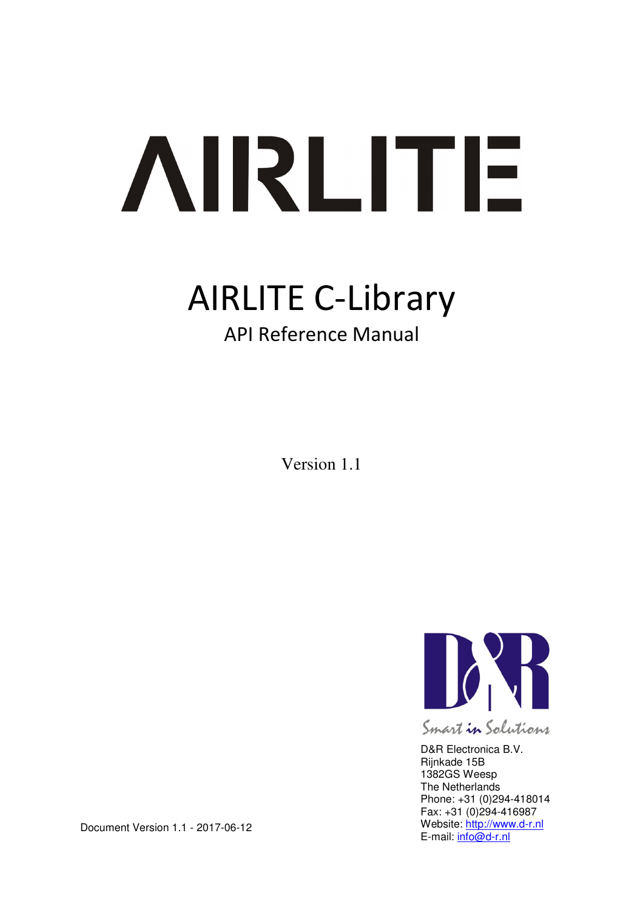# **AIRLITE**

# AIRLITE C-Library

# API Reference Manual

Version 1.1



Smart in Solutions

D&R Electronica B.V. Rijnkade 15B 1382GS Weesp The Netherlands Phone: +31 (0)294-418014 Fax: +31 (0)294-416987 Website: http://www.d-r.nl E-mail: info@d-r.nl

Document Version 1.1 - 2017-06-12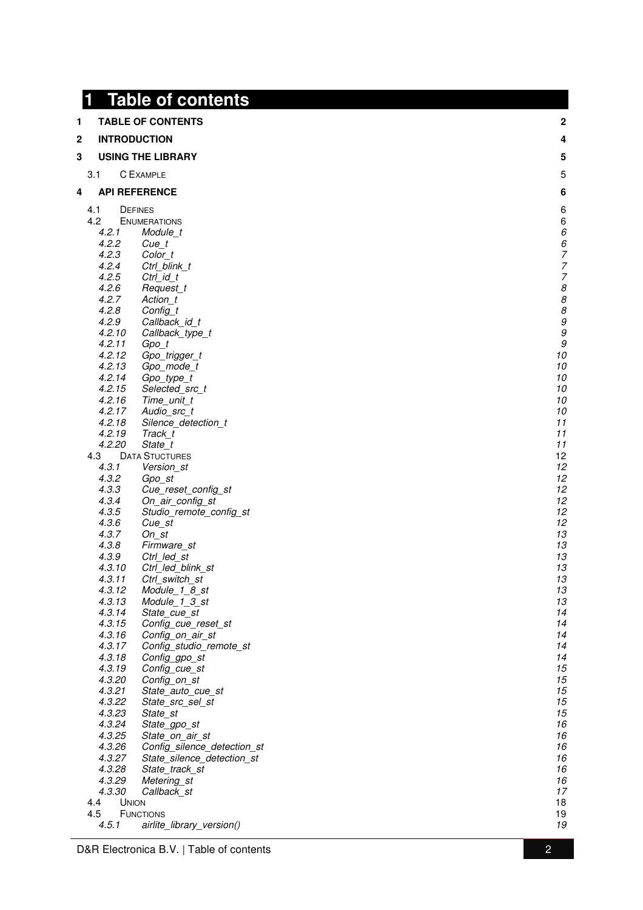| П  |                  | <b>Table of contents</b>                                  |                |
|----|------------------|-----------------------------------------------------------|----------------|
| 1. |                  | <b>TABLE OF CONTENTS</b>                                  | $\overline{c}$ |
| 2  |                  | <b>INTRODUCTION</b>                                       | 4              |
| 3  |                  | <b>USING THE LIBRARY</b>                                  | 5              |
|    | 3.1              | <b>C EXAMPLE</b>                                          | 5              |
| 4  |                  | <b>API REFERENCE</b>                                      | 6              |
|    | 4.1              | <b>DEFINES</b>                                            | 6              |
|    | 4.2              | <b>ENUMERATIONS</b>                                       | 6              |
|    | 4.2.1            | Module t                                                  | 6              |
|    | 4.2.2<br>4.2.3   | Cue t<br>Color t                                          | 677788         |
|    | 4.2.4            | Ctrl blink t                                              |                |
|    | 4.2.5            | $Ctrl_id_t$                                               |                |
|    | 4.2.6            | Request t                                                 |                |
|    | 4.2.7<br>4.2.8   | Action t                                                  |                |
|    | 4.2.9            | Config_t<br>Callback_id_t                                 | 8<br>9         |
|    | 4.2.10           | Callback_type_t                                           | g              |
|    | 4.2.11           | Gpo t                                                     | g              |
|    | 4.2.12           | Gpo_trigger_t                                             | 10             |
|    | 4.2.13<br>4.2.14 | Gpo_mode_t<br>Gpo_type_t                                  | 10<br>10       |
|    | 4.2.15           | Selected_src_t                                            | 10             |
|    | 4.2.16           | Time_unit_t                                               | 10             |
|    | 4.2.17           | Audio src t                                               | 10             |
|    | 4.2.18           | Silence_detection_t                                       | 11             |
|    | 4.2.19<br>4.2.20 | Track t<br>State t                                        | 11<br>11       |
|    | 4.3              | <b>DATA STUCTURES</b>                                     | 12             |
|    | 4.3.1            | Version st                                                | 12             |
|    | 4.3.2            | Gpo_st                                                    | 12             |
|    | 4.3.3<br>4.3.4   | Cue reset config st                                       | 12<br>12       |
|    | 4.3.5            | On_air_config_st<br>Studio_remote_config_st               | 12             |
|    | 4.3.6            | $Cue_st$                                                  | 12             |
|    | 4.3.7            | $On\_st$                                                  | 13             |
|    | 4.3.8            | Firmware st                                               | 13             |
|    | 4.3.9<br>4.3.10  | Ctrl led st<br>Ctrl led blink st                          | 13<br>13       |
|    | 4.3.11           | Ctrl_switch_st                                            | 13             |
|    | 4.3.12           | Module_1_8_st                                             | 13             |
|    | 4.3.13           | Module_1_3_st                                             | 13             |
|    | 4.3.14<br>4.3.15 | State cue st                                              | 14<br>14       |
|    | 4.3.16           | Config_cue_reset_st<br>Config on air st                   | 14             |
|    | 4.3.17           | Config studio remote st                                   | 14             |
|    | 4.3.18           | Config_gpo_st                                             | 14             |
|    | 4.3.19           | Config cue st                                             | 15             |
|    | 4.3.20<br>4.3.21 | Config_on_st<br>State auto cue st                         | 15<br>15       |
|    | 4.3.22           | State src sel st                                          | 15             |
|    | 4.3.23           | State_st                                                  | 15             |
|    | 4.3.24           | State_gpo_st                                              | 16             |
|    | 4.3.25           | State_on_air_st                                           | 16<br>16       |
|    | 4.3.26<br>4.3.27 | Config_silence_detection_st<br>State_silence_detection_st | 16             |
|    | 4.3.28           | State track st                                            | 16             |
|    | 4.3.29           | Metering st                                               | 16             |
|    | 4.3.30           | Callback_st                                               | 17             |
|    | 4.4<br>4.5       | <b>UNION</b><br><b>FUNCTIONS</b>                          | 18<br>19       |
|    | 4.5.1            | airlite_library_version()                                 | 19             |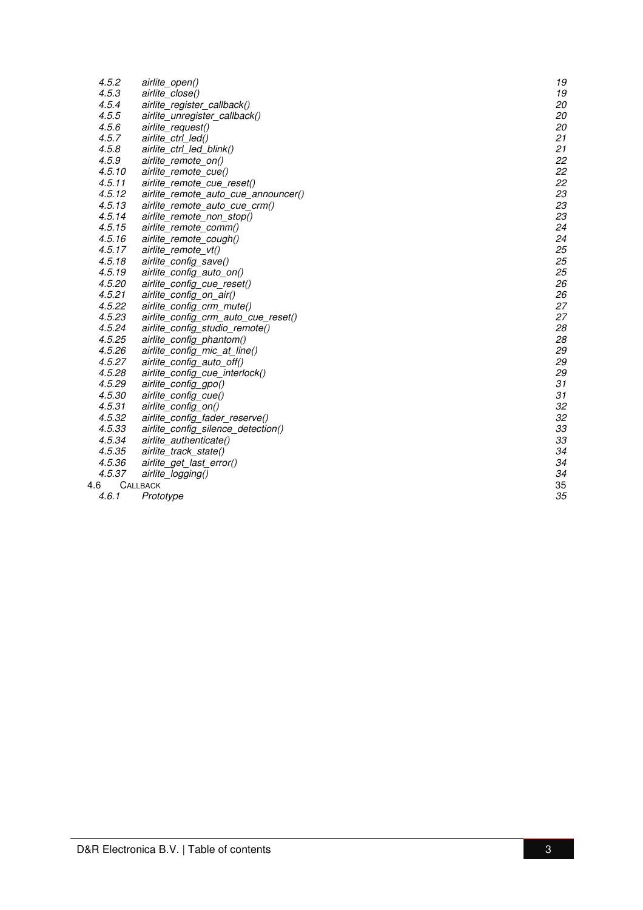|     | 4.5.2  | airlite_open()                      | 19 |
|-----|--------|-------------------------------------|----|
|     | 4.5.3  | airlite_close()                     | 19 |
|     | 4.5.4  | airlite register callback()         | 20 |
|     | 4.5.5  | airlite unregister callback()       | 20 |
|     | 4.5.6  | airlite request()                   | 20 |
|     | 4.5.7  | airlite ctrl led()                  | 21 |
|     | 4.5.8  | airlite ctrl led blink()            | 21 |
|     | 4.5.9  | airlite remote on()                 | 22 |
|     | 4.5.10 | airlite remote cue()                | 22 |
|     | 4.5.11 | airlite remote cue reset()          | 22 |
|     | 4.5.12 | airlite_remote_auto_cue_announcer() | 23 |
|     | 4.5.13 | airlite remote auto cue crm()       | 23 |
|     | 4.5.14 | airlite remote non stop()           | 23 |
|     | 4.5.15 | airlite remote comm()               | 24 |
|     | 4.5.16 | airlite remote cough()              | 24 |
|     | 4.5.17 | airlite remote vt()                 | 25 |
|     | 4.5.18 | airlite config save()               | 25 |
|     | 4.5.19 | airlite_config_auto_on()            | 25 |
|     | 4.5.20 | airlite_config_cue_reset()          | 26 |
|     | 4.5.21 | airlite config on air()             | 26 |
|     | 4.5.22 | airlite_config_crm_mute()           | 27 |
|     | 4.5.23 | airlite config crm auto cue reset() | 27 |
|     | 4.5.24 | airlite config studio remote()      | 28 |
|     | 4.5.25 | airlite config phantom()            | 28 |
|     | 4.5.26 | airlite config mic at line()        | 29 |
|     | 4.5.27 | airlite config auto off()           | 29 |
|     | 4.5.28 | airlite_config_cue_interlock()      | 29 |
|     | 4.5.29 | airlite config gpo()                | 31 |
|     | 4.5.30 | airlite config cue()                | 31 |
|     | 4.5.31 | airlite_config_on()                 | 32 |
|     | 4.5.32 | airlite config fader reserve()      | 32 |
|     | 4.5.33 | airlite config silence detection()  | 33 |
|     | 4.5.34 | airlite authenticate()              | 33 |
|     | 4.5.35 | airlite track state()               | 34 |
|     | 4.5.36 | airlite get last error()            | 34 |
|     | 4.5.37 | airlite_logging()                   | 34 |
| 4.6 |        | CALLBACK                            | 35 |
|     | 4.6.1  | Prototype                           | 35 |
|     |        |                                     |    |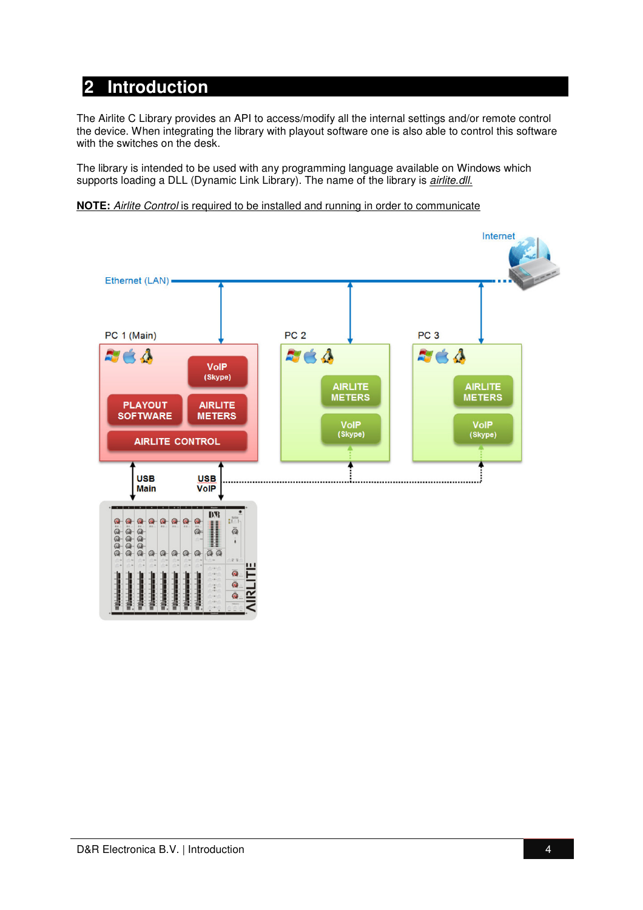# **2 Introduction**

The Airlite C Library provides an API to access/modify all the internal settings and/or remote control the device. When integrating the library with playout software one is also able to control this software with the switches on the desk.

The library is intended to be used with any programming language available on Windows which supports loading a DLL (Dynamic Link Library). The name of the library is *airlite.dll.* 

### **NOTE:** Airlite Control is required to be installed and running in order to communicate

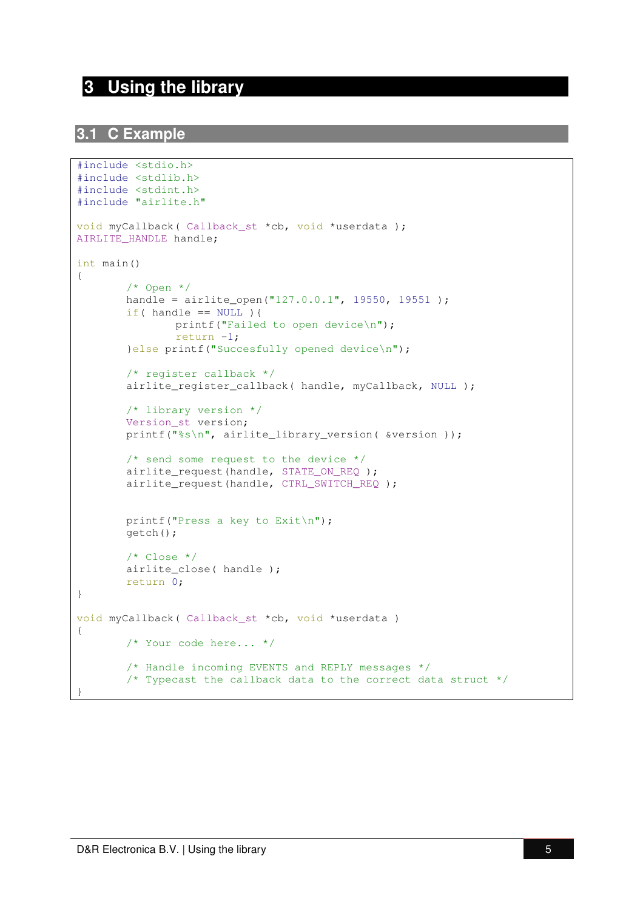# **3 Using the library**

### **3.1 C Example**

```
#include <stdio.h>
#include <stdlib.h>
#include <stdint.h>
#include "airlite.h"
void myCallback( Callback_st *cb, void *userdata ); 
AIRLITE_HANDLE handle; 
int main() 
{ 
        /* Open */handle = airlite_open("127.0.0.1", 19550, 19551 ); 
        if( handle == NULL ) {
               printf("Failed to open device\n");
                return -1; 
        }else printf("Succesfully opened device\n"); 
        /* register callback */
        airlite_register_callback( handle, myCallback, NULL ); 
        /* library version */
        Version st version;
        printf("%s\n", airlite library version( &version ));
        /* send some request to the device */
        airlite_request(handle, STATE_ON_REQ ); 
        airlite_request(handle, CTRL_SWITCH_REQ ); 
        printf("Press a key to Exit\n"); 
        getch(); 
        /* Close */
        airlite_close( handle ); 
        return 0; 
} 
void myCallback( Callback_st *cb, void *userdata ) 
{ 
        /* Your code here... */ 
         /* Handle incoming EVENTS and REPLY messages */ 
         /* Typecast the callback data to the correct data struct */ 
}
```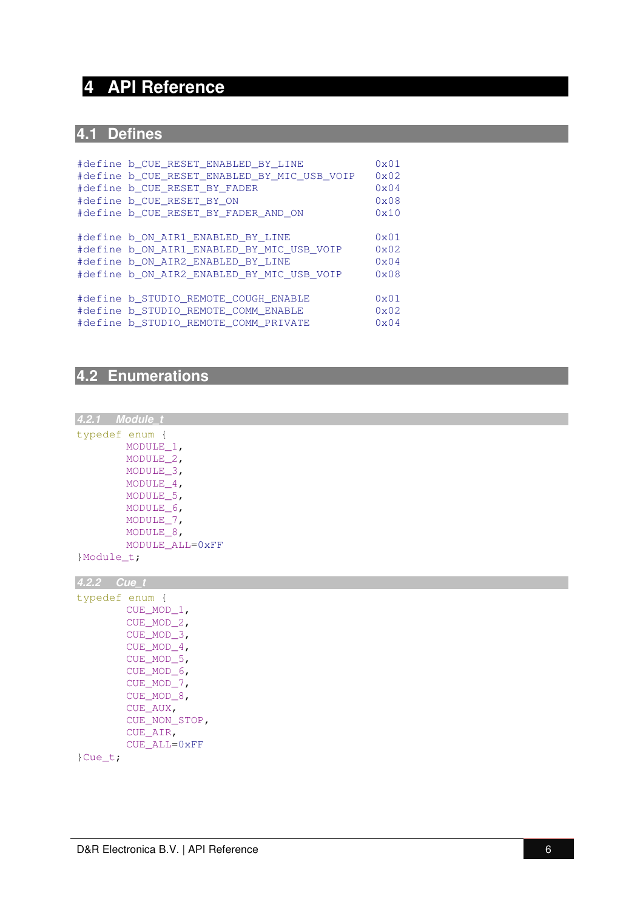# **4 API Reference**

# **4.1 Defines**

| #define b CUE RESET ENABLED BY LINE         | $0 \times 01$ |
|---------------------------------------------|---------------|
| #define b_CUE_RESET_ENABLED_BY_MIC_USB_VOIP | 0x02          |
| #define b CUE RESET BY FADER                | $0 \times 04$ |
| #define b_CUE_RESET_BY_ON                   | 0x08          |
| #define b CUE RESET BY FADER AND ON         | 0x10          |
|                                             |               |
| #define b_ON_AIR1_ENABLED_BY_LINE           | $0 \times 01$ |
| #define b_ON_AIR1_ENABLED_BY_MIC_USB_VOIP   | $0 \times 02$ |
| #define b_ON_AIR2_ENABLED_BY_LINE           | $0 \times 04$ |
| #define b ON AIR2 ENABLED BY MIC USB VOIP   | $0 \times 08$ |
|                                             |               |
| #define b STUDIO REMOTE COUGH ENABLE        | 0x01          |
| #define b STUDIO REMOTE COMM ENABLE         | 0x02          |
| #define b STUDIO REMOTE COMM PRIVATE        | $0 \times 04$ |

# **4.2 Enumerations**

**4.2.1 Module\_t** 

typedef enum { MODULE\_1, MODULE\_2, MODULE\_3, MODULE\_4, MODULE\_5, MODULE\_6, MODULE\_7, MODULE\_8, MODULE\_ALL=0xFF

}Module\_t;

**4.2.2 Cue\_t** 

| 4.2.2 CUe 1       |               |
|-------------------|---------------|
| typedef enum {    |               |
|                   | CUE MOD 1,    |
|                   | CUE MOD 2,    |
|                   | CUE MOD 3,    |
|                   | CUE MOD 4,    |
|                   | CUE MOD 5,    |
|                   | CUE MOD 6,    |
|                   | CUE MOD 7,    |
|                   | CUE MOD 8,    |
|                   | CUE AUX,      |
|                   | CUE NON STOP, |
|                   | CUE AIR.      |
|                   | CUE ALL=0xFF  |
| $1 \cap \ldots +$ |               |

}Cue\_t;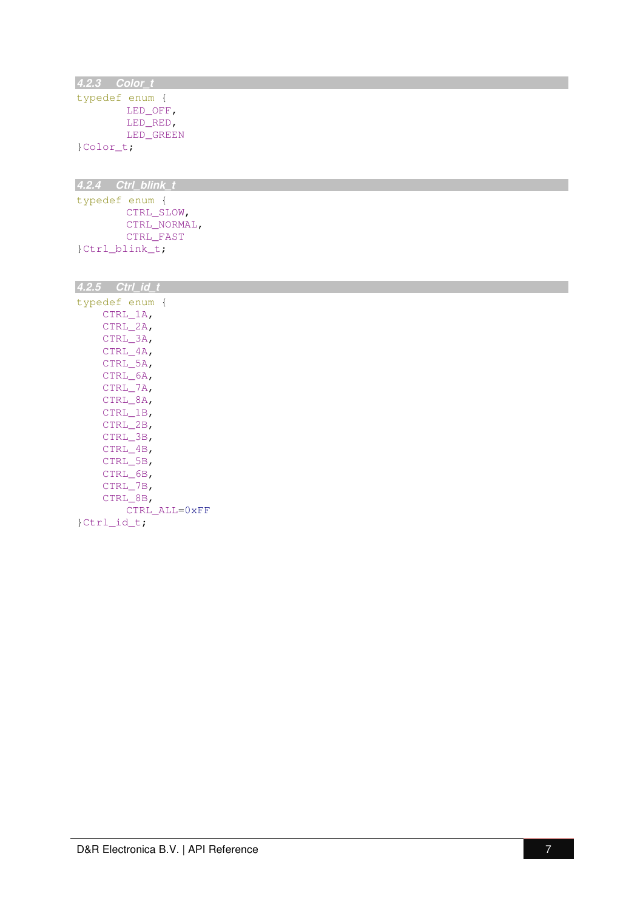| 4.2.3 Color_t                                                                                                                                                                                                                   |
|---------------------------------------------------------------------------------------------------------------------------------------------------------------------------------------------------------------------------------|
| typedef enum {<br>LED_OFF,<br>LED_RED,<br>LED_GREEN                                                                                                                                                                             |
| }Color_t;                                                                                                                                                                                                                       |
|                                                                                                                                                                                                                                 |
| 4.2.4 Ctrl_blink_t                                                                                                                                                                                                              |
| typedef enum {<br>CTRL_SLOW,<br>CTRL_NORMAL,<br>CTRL_FAST                                                                                                                                                                       |
| }Ctrl_blink_t;                                                                                                                                                                                                                  |
| 4.2.5 Ctrl_id_t                                                                                                                                                                                                                 |
| typedef enum {<br>CTRL_1A,<br>CTRL_2A,<br>CTRL_3A,<br>CTRL_4A,<br>CTRL_5A,<br>CTRL_6A,<br>CTRL_7A,<br>CTRL_8A,<br>CTRL_1B,<br>CTRL_2B,<br>CTRL_3B,<br>CTRL_4B,<br>CTRL_5B,<br>CTRL_6B,<br>CTRL_7B,<br>CTRL_8B,<br>CTRL_ALL=0xFF |
| }Ctrl_id_t;                                                                                                                                                                                                                     |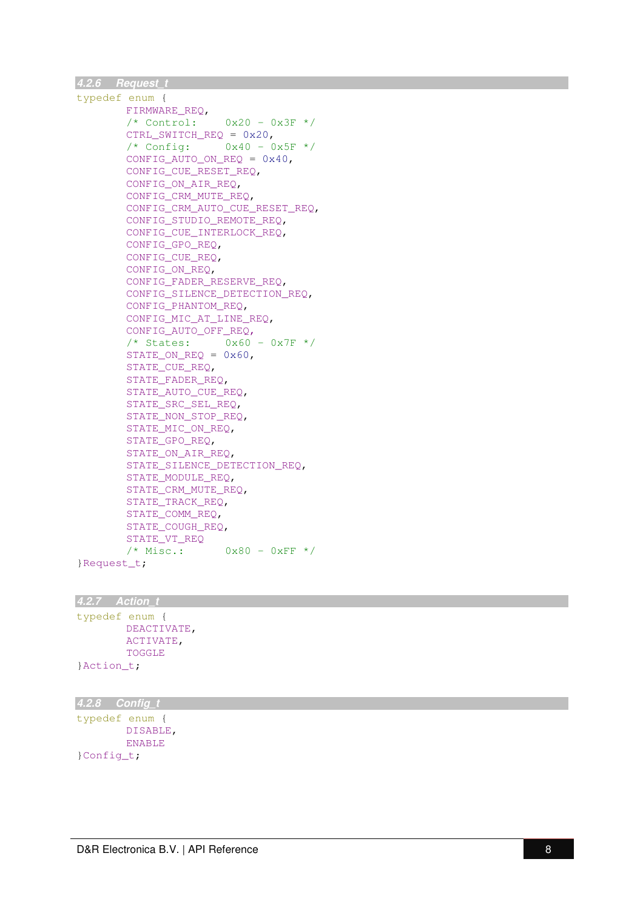typedef enum { FIRMWARE\_REQ,  $/*$  Control:  $0x20 - 0x3F$  \*/ CTRL\_SWITCH\_REQ = 0x20, /\* Config: 0x40 - 0x5F \*/ CONFIG\_AUTO\_ON\_REQ = 0x40, CONFIG\_CUE\_RESET\_REQ, CONFIG\_ON\_AIR\_REQ, CONFIG\_CRM\_MUTE\_REQ, CONFIG\_CRM\_AUTO\_CUE\_RESET\_REQ, CONFIG\_STUDIO\_REMOTE\_REQ, CONFIG\_CUE\_INTERLOCK\_REQ, CONFIG\_GPO\_REQ, CONFIG\_CUE\_REQ, CONFIG\_ON\_REQ, CONFIG\_FADER\_RESERVE\_REQ, CONFIG SILENCE DETECTION REQ, CONFIG\_PHANTOM\_REQ, CONFIG\_MIC\_AT\_LINE\_REQ, CONFIG\_AUTO\_OFF\_REQ,  $/*$  States:  $0x60 - 0x7F$  \*/  $STATEON\_REQ = 0x60,$ STATE\_CUE\_REQ. STATE\_FADER\_REQ. STATE\_AUTO\_CUE\_REQ, STATE\_SRC\_SEL\_REQ , STATE\_NON\_STOP\_REQ, STATE\_MIC\_ON\_REQ , STATE\_GPO\_REQ, STATE\_ON\_AIR\_REQ, STATE\_SILENCE\_DETECTION\_REQ, STATE\_MODULE\_REQ, STATE\_CRM\_MUTE\_REQ, STATE\_TRACK\_REQ, STATE\_COMM\_REQ, STATE\_COUGH\_REQ, STATE\_VT\_REQ  $/*$  Misc.:  $0x80 - 0xFF$  \*/ }Request\_t;

**4.2.7 Action\_t**  typedef enum { DEACTIVATE, ACTIVATE , TOGGLE }Action\_t;

### **4.2.8 Config\_t**

typedef enum { DISABLE, ENABLE }Config\_t;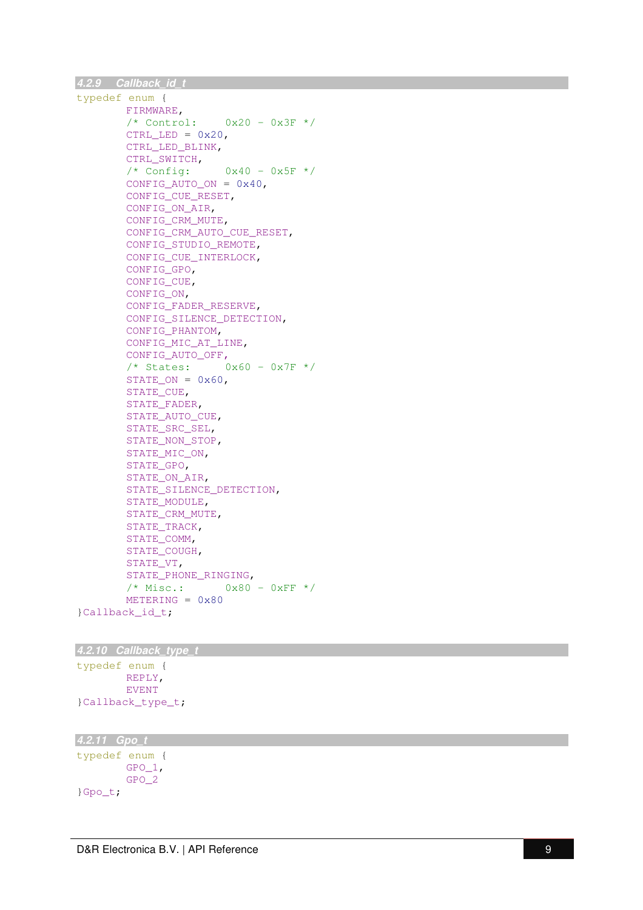```
typedef enum { 
       FIRMWARE, 
        /* Control:
                       0x20 - 0x3F */
        CTRL<sub>LED</sub> = 0x20,
        CTRL_LED_BLINK, 
        CTRL_SWITCH, 
        /* Config:
                       0x40 - 0x5F */
        CONFIG_AUTO_ON
= 0x40, 
        CONFIG_CUE_RESET, 
        CONFIG_ON_AIR, 
        CONFIG_CRM_MUTE, 
        CONFIG_CRM_AUTO_CUE_RESET, 
        CONFIG_STUDIO_REMOTE, 
        CONFIG_CUE_INTERLOCK, 
        CONFIG_GPO, 
        CONFIG_CUE, 
        CONFIG_ON, 
        CONFIG_FADER_RESERVE, 
        CONFIG_SILENCE_DETECTION, 
        CONFIG_PHANTOM, 
        CONFIG_MIC_AT_LINE, 
         CONFIG_AUTO_OFF,
        /* States: 0x60 - 0x7F */
        STATEON = 0x60,STATE_CUE,
        STATE_FADER, 
        STATE_AUTO_CUE, 
        STATE_SRC_SEL, 
        STATE_NON_STOP, 
        STATE_MIC_ON, 
        STATE_GPO, 
        STATE_ON_AIR, 
        STATE_SILENCE_DETECTION, 
        STATE_MODULE, 
        STATE_CRM_MUTE, 
        STATE_TRACK, 
        STATE_COMM
,
        STATE_COUGH, 
        STATE_VT, 
        STATE_PHONE_RINGING, 
        /* Misc.: 0x80 - 0xFF */
        METERING
= 0x80
}Callback_id_t;
```

```
4.2.10 Callback_type_t
```
typedef enum { REPLY , EVENT }Callback\_type\_t;

```
4.2.11 Gpo_t 
typedef enum {
```
GPO\_1, GPO\_2 }Gpo\_t;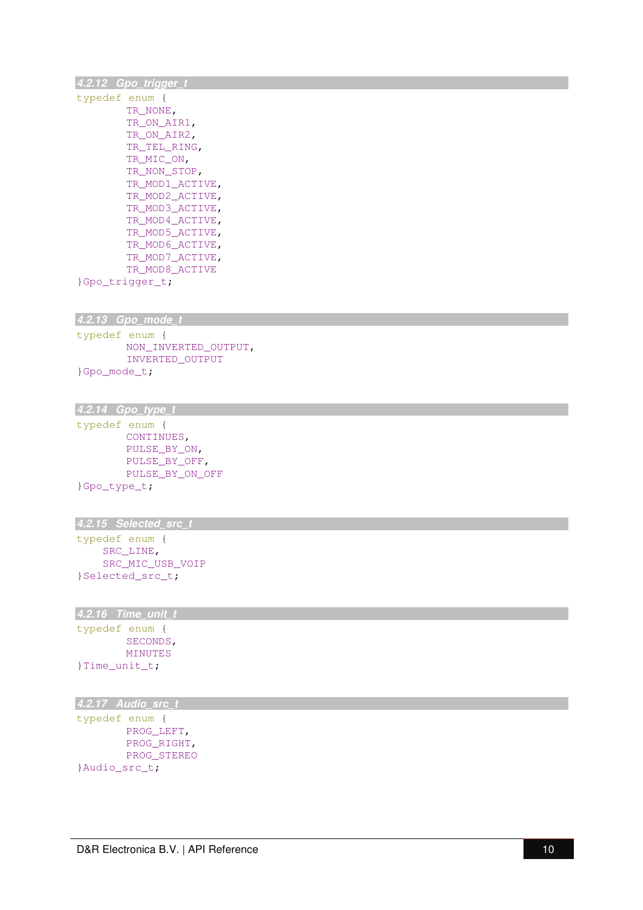**4.2.12 Gpo\_trigger\_t** 

```
typedef enum { 
        TR_NONE, 
        TR_ON_AIR1, 
        TR_ON_AIR2, 
        TR_TEL_RING, 
        TR_MIC_ON, 
        TR_NON_STOP, 
        TR_MOD1_ACTIVE, 
        TR_MOD2_ACTIVE, 
        TR_MOD3_ACTIVE, 
        TR_MOD4_ACTIVE, 
        TR_MOD5_ACTIVE, 
        TR_MOD6_ACTIVE, 
        TR_MOD7_ACTIVE, 
        TR_MOD8_ACTIVE
```
}Gpo\_trigger\_t;

**4.2.13 Gpo\_mode\_t** 

typedef enum { NON\_INVERTED\_OUTPUT, INVERTED\_OUTPUT }Gpo\_mode\_t;

### **4.2.14 Gpo\_type\_t**

typedef enum { CONTINUES , PULSE\_BY\_ON, PULSE\_BY\_OFF , PULSE\_BY\_ON\_OFF }Gpo\_type\_t;

### **4.2.15 Selected\_src\_t**

```
typedef enum { 
     SRC_LINE, 
     SRC_MIC_USB_VOIP }Selected_src_t;
```
### **4.2.16 Time\_unit\_t**

typedef enum { SECONDS, MINUTES }Time\_unit\_t;

### **4.2.17 Audio\_src\_t**

```
typedef enum { 
        PROG_LEFT, 
        PROG_RIGHT, 
        PROG_STEREO
}Audio_src_t;
```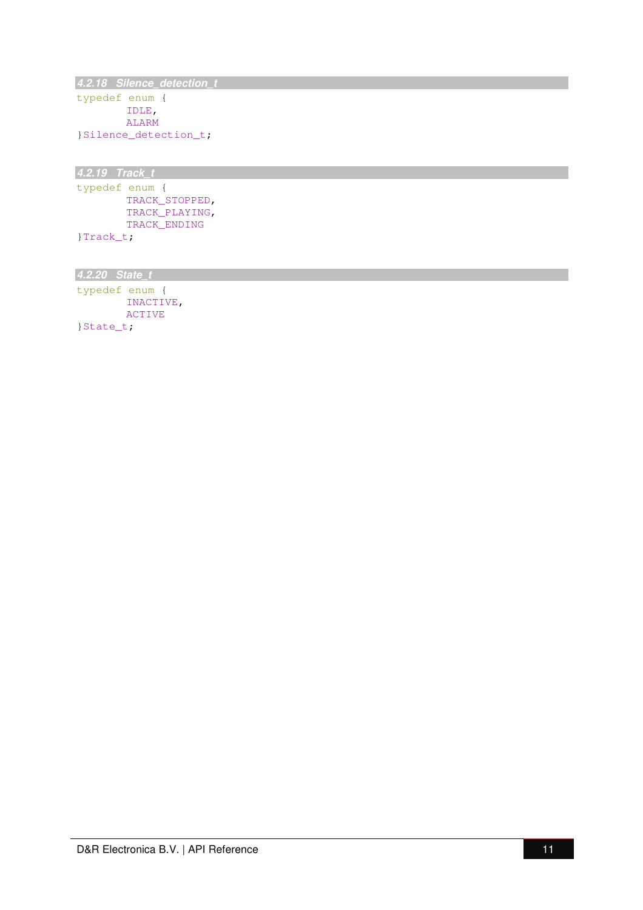**4.2.18 Silence\_detection\_t** 

typedef enum { IDLE, ALARM }Silence\_detection\_t;

**4.2.19 Track\_t** 

typedef enum { TRACK\_STOPPED, TRACK\_PLAYING, TRACK\_ENDING }Track\_t;

**4.2.20 State\_t** 

typedef enum { INACTIVE, ACTIVE }State\_t;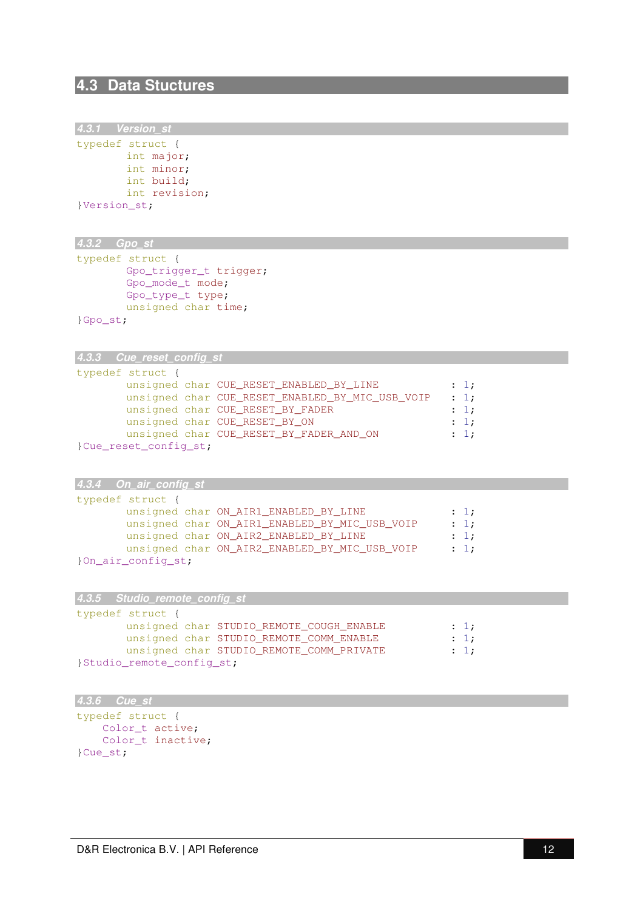# **4.3 Data Stuctures**

**4.3.1 Version\_st** 

```
typedef struct { 
        int major; 
        int minor; 
        int build; 
        int revision; 
}Version_st;
```
**4.3.2 Gpo\_st** 

```
typedef struct { 
        Gpo_trigger_t trigger; 
        Gpo_mode_t mode; 
        Gpo_type_t type; 
        unsigned char time;
```
}Gpo\_st;

**4.3.3 Cue\_reset\_config\_st** 

| typedef struct {                                |      |
|-------------------------------------------------|------|
| unsigned char CUE RESET ENABLED BY LINE         | : 1; |
| unsigned char CUE_RESET_ENABLED_BY_MIC_USB_VOIP | : 1; |
| unsigned char CUE RESET BY FADER                | : 1; |
| unsigned char CUE RESET BY ON                   | : 1; |
| unsigned char CUE RESET BY FADER AND ON         | : 1; |
| }Cue reset config st;                           |      |

| 4.3.4 On_air_config_st |                                               |      |
|------------------------|-----------------------------------------------|------|
| typedef struct {       |                                               |      |
|                        | unsigned char ON AIR1 ENABLED BY LINE         | : 1: |
|                        | unsigned char ON_AIR1_ENABLED_BY_MIC_USB_VOIP | : 1: |
|                        | unsigned char ON AIR2 ENABLED BY LINE         | : 1: |
|                        | unsigned char ON_AIR2_ENABLED_BY_MIC_USB_VOIP | : 1; |
| }On_air_config_st;     |                                               |      |

| 4.3.5 Studio remote config st                          |  |  |  |
|--------------------------------------------------------|--|--|--|
| typedef struct {                                       |  |  |  |
| unsigned char STUDIO_REMOTE_COUGH_ENABLE<br>$\cdot$ 1: |  |  |  |
| unsigned char STUDIO_REMOTE_COMM_ENABLE<br>: 1;        |  |  |  |
| unsigned char STUDIO_REMOTE_COMM_PRIVATE<br>: 1;       |  |  |  |
| Studio remote config st;                               |  |  |  |

```
4.3.6 Cue_st
```

```
typedef struct { 
     Color_t active; 
     Color_t inactive; 
}Cue_st;
```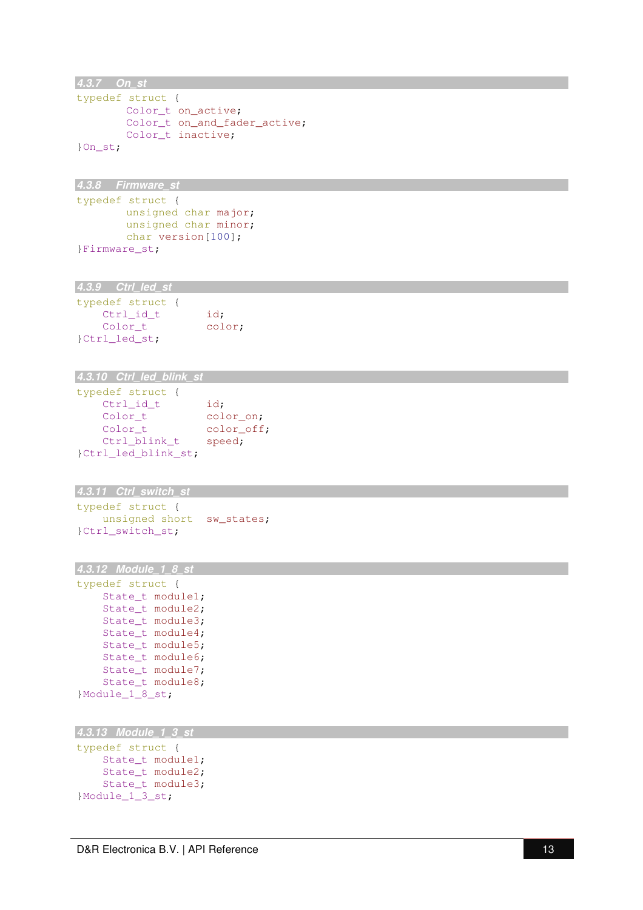```
4.3.7 On_st
```

```
typedef struct { 
        Color_t on_active;
        Color_t on_and_fader_active;
        Color_t inactive;
}On_st;
```

```
4.3.8 Firmware_st
```

```
typedef struct { 
        unsigned char major; 
        unsigned char minor; 
        char version
[100]; 
}Firmware_st;
```
# **4.3.9 Ctrl\_led\_st**

| typedef struct { |        |
|------------------|--------|
| Ctrl id t        | id;    |
| Color t          | color; |
| Ctrl led st;     |        |

### **4.3.10 Ctrl\_led\_blink\_st**

| typedef struct {   |            |
|--------------------|------------|
| Ctrl id t          | id;        |
| Color t            | color on:  |
| Color t            | color off; |
| Ctrl blink t       | speed;     |
| Ctrl led blink st; |            |

```
4.3.11 Ctrl_switch_st
```
typedef struct { unsigned short sw\_states;<br>}Ctrl\_switch\_st;

```
4.3.12 Module_1_8_st
```

```
typedef struct { 
     State_t module1; 
     State_t module2; 
     State_t module3; 
     State_t module4; 
     State_t module5; 
    State t module6;
    State t module7;
State_t module8;<br>}Module 1 8 st;
```

```
4.3.13 Module_1_3_st
```

```
typedef struct { 
      State_t module1; 
      State_t module2; 
State_t module3;<br>}Module_1_3_st;
```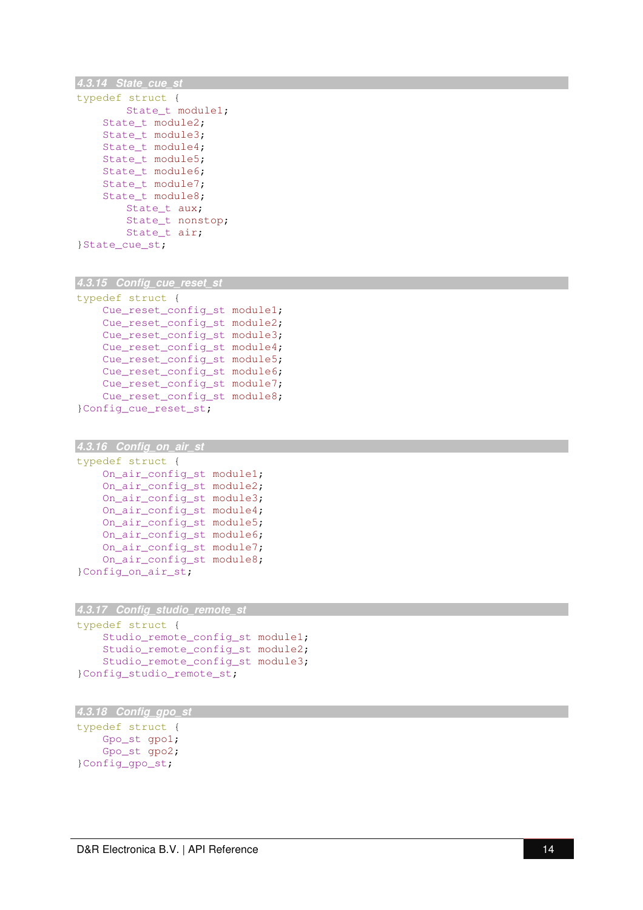```
4.3.14 State_cue_st
```

```
typedef struct { 
        State_t module1; 
     State_t module2; 
     State_t module3; 
     State_t module4; 
     State_t module5; 
     State_t module6; 
     State_t module7; 
     State_t module8; 
        State_t aux; 
        State_t nonstop; 
        State_t air; 
}State_cue_st;
```

```
4.3.15 Config_cue_reset_st
```

```
typedef struct { 
     Cue_reset_config_st module1; 
     Cue_reset_config_st module2; 
     Cue_reset_config_st module3; 
     Cue_reset_config_st module4; 
     Cue_reset_config_st module5; 
     Cue_reset_config_st module6; 
     Cue_reset_config_st module7; 
 Cue_reset_config_st module8; }Config_cue_reset_st;
```

```
4.3.16 Config_on_air_st 
typedef struct { 
     On_air_config_st module1; 
     On_air_config_st module2; 
     On_air_config_st module3; 
     On_air_config_st module4; 
     On_air_config_st module5; 
     On_air_config_st module6; 
     On_air_config_st module7; 
On_air_config_st module8;<br>}Config_on_air_st;
```

```
4.3.17 Config_studio_remote_st
```

```
typedef struct { 
      Studio_remote_config_st module1; 
      Studio_remote_config_st module2; 
Studio_remote_config_st module3;<br>}Config_studio_remote_st;
```

```
4.3.18 Config_gpo_st
```

```
typedef struct { 
      Gpo_st gpo1; 
 Gpo_st gpo2; }Config_gpo_st;
```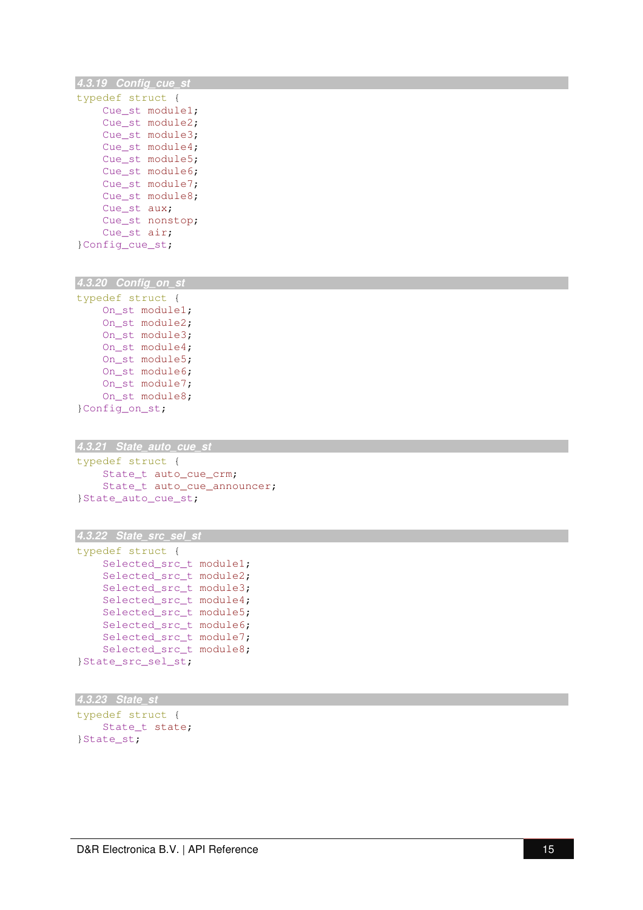**4.3.19 Config\_cue\_st** 

| typedef struct { |                 |
|------------------|-----------------|
|                  | Cue st module1; |
|                  | Cue st module2; |
|                  | Cue st module3; |
|                  | Cue st module4; |
| Cue st           | module5;        |
| Cue st           | module6;        |
| Cue st           | module7;        |
| Cue st           | module8;        |
| Cue st aux:      |                 |
|                  | Cue st nonstop; |
| Cue st air;      |                 |
| }Config_cue_st;  |                 |

### **4.3.20 Config\_on\_st**

typedef struct { On\_st module1; On\_st module2; On\_st module3; On\_st module4; On\_st module5; On\_st module6; On\_st module7; On\_st module8; }Config\_on\_st;

```
4.3.21 State_auto_cue_st
```
typedef struct { State\_t auto\_cue\_crm; State\_t auto\_cue\_announcer; }State\_auto\_cue\_st;

```
4.3.22 State_src_sel_st
```

```
typedef struct { 
 Selected_src_t module1
;
    Selected src t module2;
    Selected src t module3;
     Selected_src_t module4; 
     Selected_src_t module5; 
     Selected_src_t module6; 
     Selected_src_t module7; 
Selected_src_t module8;
}State_src_sel_st;
```

```
4.3.23 State_st
```

```
typedef struct { 
State_t state;<br>}State_st;
```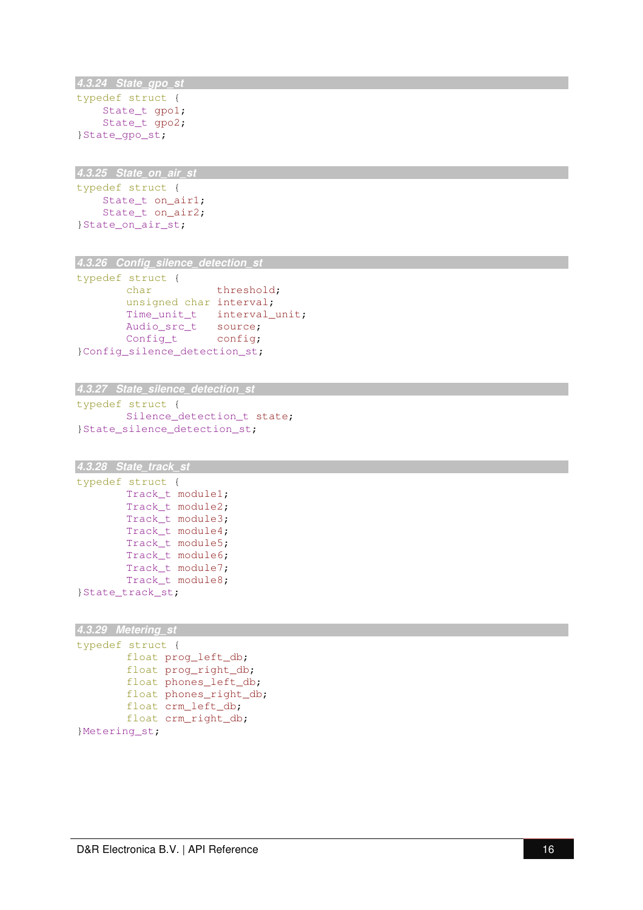```
typedef struct { 
     State_t gpo1; 
     State_t gpo2; 
}State_gpo_st;
```
**4.3.25 State\_on\_air\_st** 

```
typedef struct { 
     State_t on_air1; 
     State_t on_air2; 
}State_on_air_st;
```
**4.3.26 Config\_silence\_detection\_st** 

typedef struct { char threshold; unsigned char interval; Time\_unit\_t interval\_unit; Audio\_src\_t source; Config\_t config; }Config\_silence\_detection\_st;

```
4.3.27 State_silence_detection_st
```

```
typedef struct { 
        Silence_detection_t state; 
}State_silence_detection_st;
```

```
4.3.28 State_track_st
```

```
typedef struct { 
       Track t module1;
       Track t module2;
       Track t module3;
       Track t module4;
       Track t module5;
       Track t module6;
       Track_t module7; 
       Track_t module8; 
}State_track_st;
```

```
4.3.29 Metering_st
```

```
typedef struct { 
        float prog_left_db;
        float prog_right_db;
        float phones_left_db; 
        float phones right db;
        float crm_left_db; 
        float crm_right_db; 
}Metering_st;
```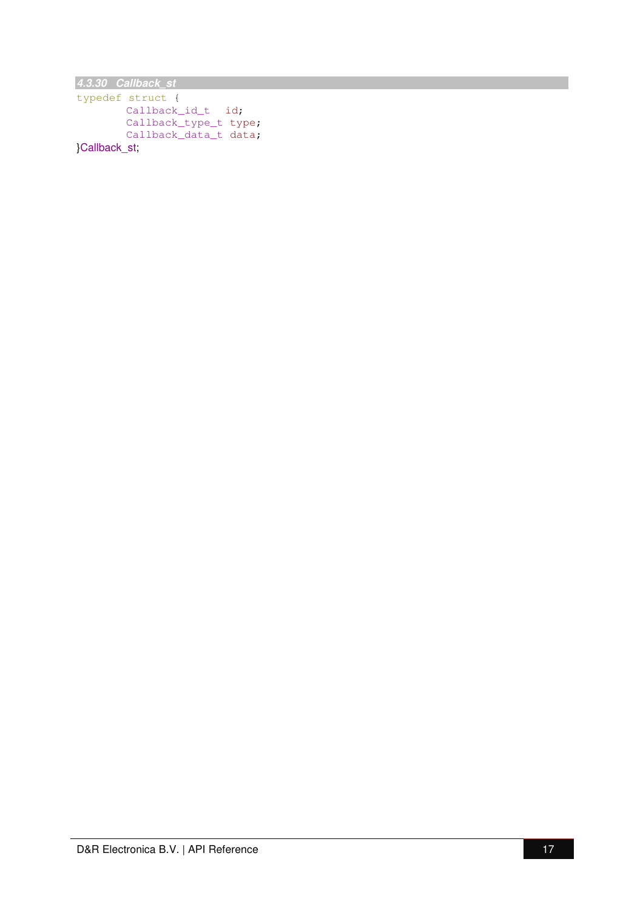**4.3.30 Callback\_st** 

```
typedef struct { 
      Callback_id_t id;
        Callback_type_t type; 
        Callback_data_t data;
}Callback_st;
```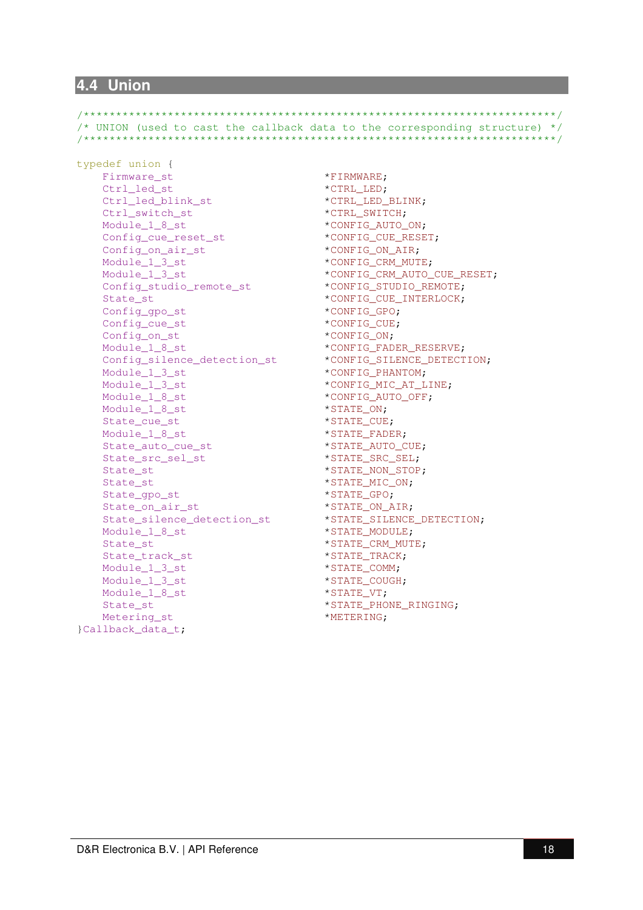## **4.4 Union**

/\*\*\*\*\*\*\*\*\*\*\*\*\*\*\*\*\*\*\*\*\*\*\*\*\*\*\*\*\*\*\*\*\*\*\*\*\*\*\*\*\*\*\*\*\*\*\*\*\*\*\*\*\*\*\*\*\*\*\*\*\*\*\*\*\*\*\*\*\*\*\*\*\*/ /\* UNION (used to cast the callback data to the corresponding structure) \*/ /\*\*\*\*\*\*\*\*\*\*\*\*\*\*\*\*\*\*\*\*\*\*\*\*\*\*\*\*\*\*\*\*\*\*\*\*\*\*\*\*\*\*\*\*\*\*\*\*\*\*\*\*\*\*\*\*\*\*\*\*\*\*\*\*\*\*\*\*\*\*\*\*\*/ typedef union { Firmware st  $*$ FIRMWARE; Ctrl\_led\_st<br>Ctrl\_led\_blink\_st<br> \*CTRL\_LED\_BLINK; Ctrl\_led\_blink\_st Ctrl\_switch\_st \*CTRL\_SWITCH; Module\_1\_8\_st  $*$ CONFIG\_AUTO\_ON; Config\_cue\_reset\_st \*CONFIG\_CUE\_RESET; Config\_on\_air\_st \*CONFIG\_ON\_AIR; Module\_1\_3\_st \*CONFIG\_CRM\_MUTE; Module\_1\_3\_st \*CONFIG\_CRM\_AUTO\_CUE\_RESET; Config\_studio\_remote\_st \*CONFIG\_STUDIO\_REMOTE; State\_st  $*$ CONFIG\_CUE\_INTERLOCK; Config\_gpo\_st \*CONFIG\_GPO; Config\_cue\_st  $*$ CONFIG\_CUE; Config\_on\_st  $*$  CONFIG\_ON; Module\_1\_8\_st \*CONFIG\_FADER\_RESERVE; Config\_silence\_detection\_st \*CONFIG\_SILENCE\_DETECTION; Module\_1\_3\_st  $*$  CONFIG\_PHANTOM; Module\_1\_3\_st  $*$ CONFIG\_MIC\_AT\_LINE; Module 1 8 st  $*$ CONFIG AUTO OFF; Module 1 8 st  $*$ STATE ON; State cue st \*STATE CUE; Module 1 8 st  $*$ STATE FADER; State\_auto\_cue\_st \*STATE\_AUTO\_CUE; State src\_sel\_st \*STATE\_SRC\_SEL; State\_st \*STATE\_NON\_STOP; State\_st \*STATE\_MIC\_ON; State\_gpo\_st \*STATE\_GPO; State\_on\_air\_st \*STATE\_ON\_AIR; State\_silence\_detection\_st \*STATE\_SILENCE\_DETECTION; Module\_1\_8\_st \*STATE\_MODULE; State\_st \*STATE\_CRM\_MUTE; State\_track\_st \*STATE\_TRACK; Module\_1\_3\_st \*STATE\_COMM; Module\_1\_3\_st \*STATE\_COUGH; Module\_1\_8\_st \*STATE\_VT; State\_st \*STATE\_PHONE\_RINGING; Metering\_st  $*$ METERING; }Callback\_data\_t;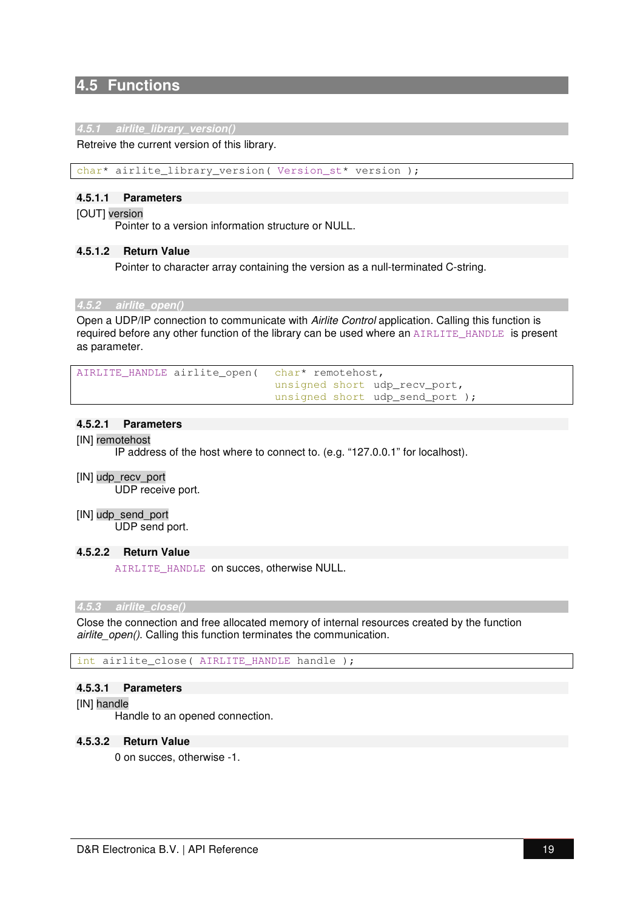# **4.5 Functions**

### **4.5.1 airlite\_library\_version()**

Retreive the current version of this library.

char\* airlite\_library\_version( Version\_st\* version );

### **4.5.1.1 Parameters**

### [OUT] version

Pointer to a version information structure or NULL.

### **4.5.1.2 Return Value**

Pointer to character array containing the version as a null-terminated C-string.

### **4.5.2 airlite\_open()**

Open a UDP/IP connection to communicate with Airlite Control application. Calling this function is required before any other function of the library can be used where an AIRLITE\_HANDLE is present as parameter.

```
AIRLITE_HANDLE airlite_open( char* remotehost, 
                                unsigned short udp_recv_port, 
                               unsigned short udp send port );
```
### **4.5.2.1 Parameters**

### [IN] remotehost

IP address of the host where to connect to. (e.g. "127.0.0.1" for localhost).

### [IN] udp\_recv\_port

UDP receive port.

### [IN] udp\_send\_port

UDP send port.

### **4.5.2.2 Return Value**

AIRLITE\_HANDLE on succes, otherwise NULL.

### **4.5.3 airlite\_close()**

Close the connection and free allocated memory of internal resources created by the function airlite\_open(). Calling this function terminates the communication.

### int airlite\_close( AIRLITE\_HANDLE handle );

### **4.5.3.1 Parameters**

[IN] handle

Handle to an opened connection.

### **4.5.3.2 Return Value**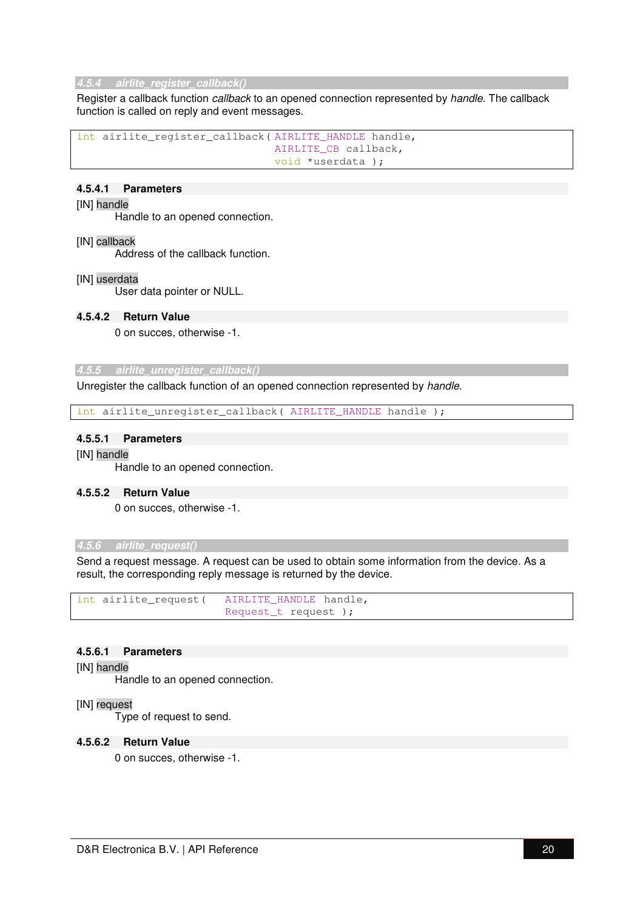### **4.5.4 airlite\_register\_callback()**

Register a callback function *callback* to an opened connection represented by *handle*. The callback function is called on reply and event messages.

int airlite\_register\_callback( AIRLITE\_HANDLE handle, AIRLITE\_CB callback, void \*userdata );

### **4.5.4.1 Parameters**

### [IN] handle

Handle to an opened connection.

### [IN] callback

Address of the callback function.

### [IN] userdata

User data pointer or NULL.

### **4.5.4.2 Return Value**

0 on succes, otherwise -1.

### **4.5.5 airlite\_unregister\_callback()**

Unregister the callback function of an opened connection represented by handle.

int airlite\_unregister\_callback( AIRLITE\_HANDLE handle );

### **4.5.5.1 Parameters**

### [IN] handle

Handle to an opened connection.

### **4.5.5.2 Return Value**

0 on succes, otherwise -1.

### **4.5.6 airlite\_request()**

Send a request message. A request can be used to obtain some information from the device. As a result, the corresponding reply message is returned by the device.

```
int airlite_request( AIRLITE_HANDLE handle, 
                        Request_t request );
```
### **4.5.6.1 Parameters**

[IN] handle

Handle to an opened connection.

### [IN] request

Type of request to send.

### **4.5.6.2 Return Value**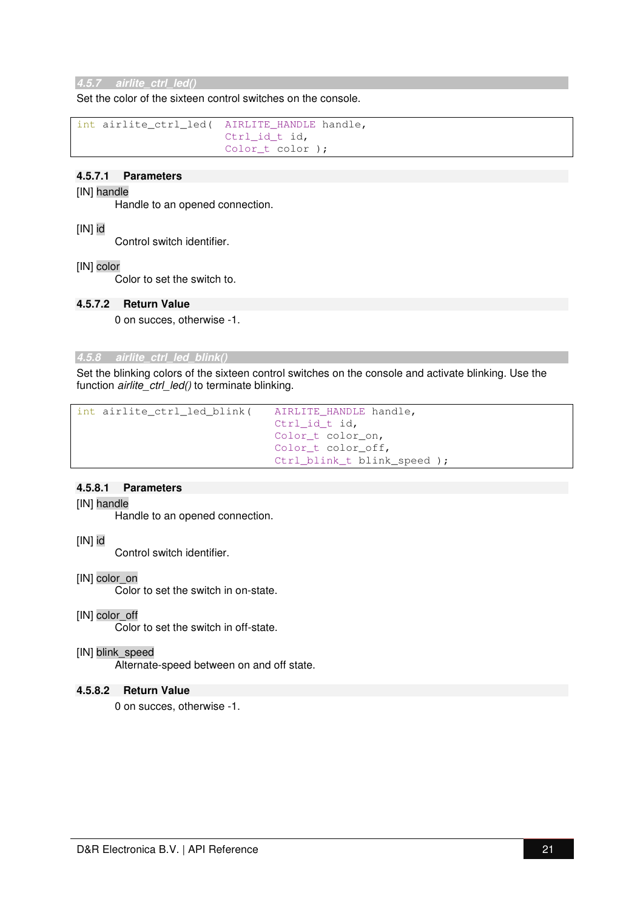### **4.5.7 airlite\_ctrl\_led()**

Set the color of the sixteen control switches on the console.

```
int airlite ctrl led( AIRLITE HANDLE handle,
                         Ctrl_id_t id, 
                        Color_t color );
```
### **4.5.7.1 Parameters**

### [IN] handle

Handle to an opened connection.

### [IN] id

Control switch identifier.

### [IN] color

Color to set the switch to.

### **4.5.7.2 Return Value**

0 on succes, otherwise -1.

### **4.5.8 airlite\_ctrl\_led\_blink()**

Set the blinking colors of the sixteen control switches on the console and activate blinking. Use the function airlite\_ctrl\_led() to terminate blinking.

```
int airlite_ctrl_led_blink( AIRLITE_HANDLE handle, 
                                 Ctrl_id_t id, 
                                Color_t color_on, 
                                Color_t color_off, 
                                Ctrl_blink_t blink_speed );
```
### **4.5.8.1 Parameters**

### [IN] handle

Handle to an opened connection.

### [IN] id

Control switch identifier.

### [IN] color\_on

Color to set the switch in on-state.

### [IN] color\_off

Color to set the switch in off-state.

### [IN] blink\_speed

Alternate-speed between on and off state.

### **4.5.8.2 Return Value**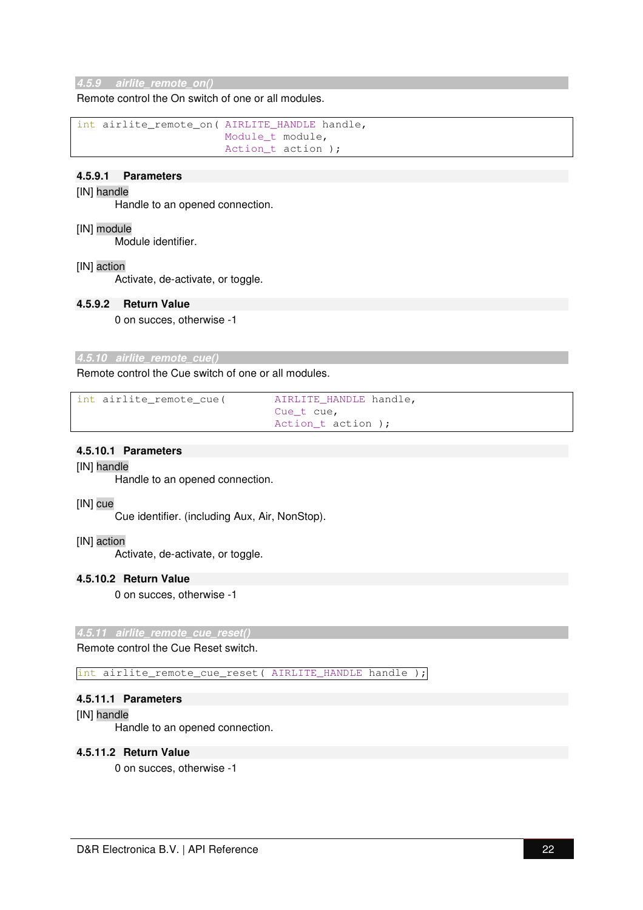### **4.5.9 airlite\_remote\_on()**

Remote control the On switch of one or all modules.

```
int airlite_remote_on( AIRLITE_HANDLE handle, 
                         Module_t module, 
                        Action_t action );
```
### **4.5.9.1 Parameters**

### [IN] handle

Handle to an opened connection.

### [IN] module

Module identifier.

### [IN] action

Activate, de-activate, or toggle.

### **4.5.9.2 Return Value**

0 on succes, otherwise -1

### **4.5.10 airlite\_remote\_cue()**

Remote control the Cue switch of one or all modules.

```
int airlite_remote_cue( AIRLITE_HANDLE handle, 
                               Cue_t cue, 
                              Action_t action );
```
### **4.5.10.1 Parameters**

### [IN] handle

Handle to an opened connection.

### [IN] cue

Cue identifier. (including Aux, Air, NonStop).

### [IN] action

Activate, de-activate, or toggle.

### **4.5.10.2 Return Value**

0 on succes, otherwise -1

### **4.5.11 airlite\_remote\_cue\_reset()**

Remote control the Cue Reset switch.

int airlite\_remote\_cue\_reset( AIRLITE\_HANDLE handle );

### **4.5.11.1 Parameters**

### [IN] handle

Handle to an opened connection.

### **4.5.11.2 Return Value**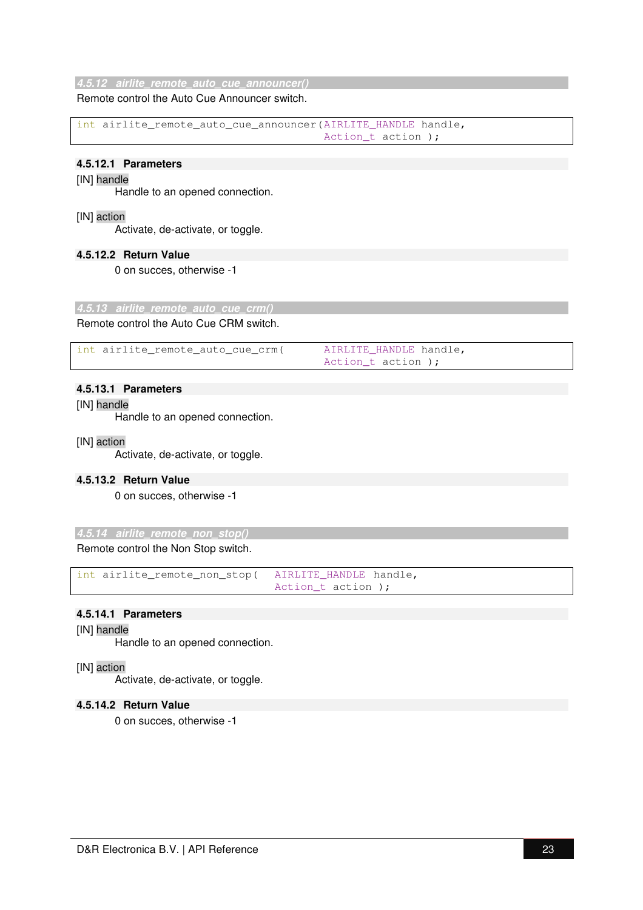### **4.5.12 airlite\_remote\_auto\_cue\_announcer()**

Remote control the Auto Cue Announcer switch.

```
int airlite_remote_auto_cue_announcer( AIRLITE_HANDLE handle, 
                                         Action_t action );
```
### **4.5.12.1 Parameters**

### [IN] handle

Handle to an opened connection.

### [IN] action

Activate, de-activate, or toggle.

### **4.5.12.2 Return Value**

0 on succes, otherwise -1

**4.5.13 airlite\_remote\_auto\_cue\_crm()** 

Remote control the Auto Cue CRM switch.

| int airlite remote auto cue crm( | AIRLITE HANDLE handle, |
|----------------------------------|------------------------|
|                                  | Action t action );     |

### **4.5.13.1 Parameters**

[IN] handle

Handle to an opened connection.

### [IN] action

Activate, de-activate, or toggle.

### **4.5.13.2 Return Value**

0 on succes, otherwise -1

### **4.5.14 airlite\_remote\_non\_stop()**

Remote control the Non Stop switch.

```
int airlite_remote_non_stop( AIRLITE_HANDLE handle, 
                                Action_t action );
```
### **4.5.14.1 Parameters**

### [IN] handle

Handle to an opened connection.

### [IN] action

Activate, de-activate, or toggle.

### **4.5.14.2 Return Value**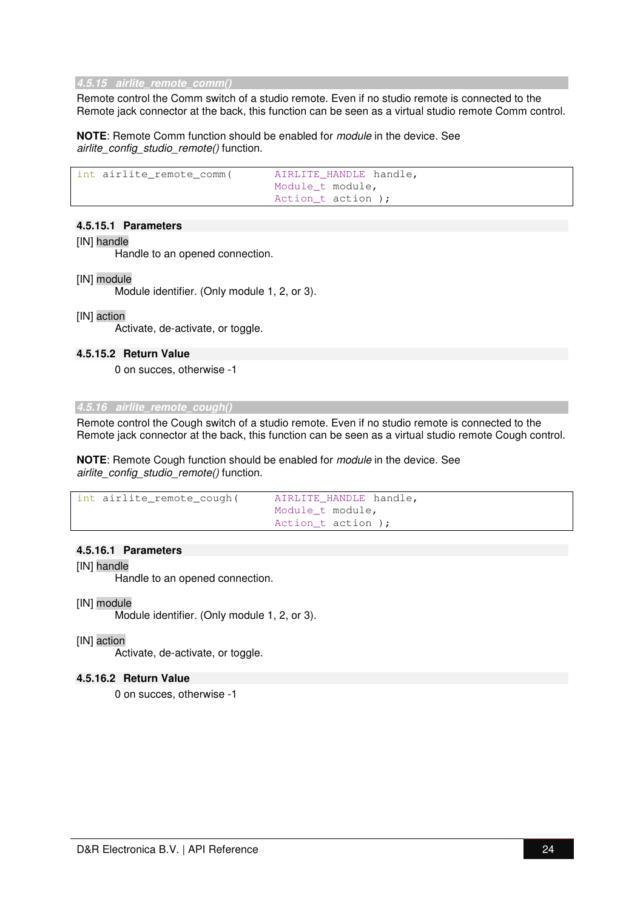### **4.5.15 airlite\_remote\_comm()**

Remote control the Comm switch of a studio remote. Even if no studio remote is connected to the Remote jack connector at the back, this function can be seen as a virtual studio remote Comm control.

**NOTE**: Remote Comm function should be enabled for module in the device. See airlite\_config\_studio\_remote() function.

```
int airlite_remote_comm( AIRLITE_HANDLE handle, 
                               Module_t module, 
                              Action_t action );
```
### **4.5.15.1 Parameters**

[IN] handle

Handle to an opened connection.

[IN] module

Module identifier. (Only module 1, 2, or 3).

[IN] action

Activate, de-activate, or toggle.

### **4.5.15.2 Return Value**

0 on succes, otherwise -1

**4.5.16 airlite\_remote\_cough()** 

Remote control the Cough switch of a studio remote. Even if no studio remote is connected to the Remote jack connector at the back, this function can be seen as a virtual studio remote Cough control.

**NOTE**: Remote Cough function should be enabled for module in the device. See airlite\_config\_studio\_remote() function.

```
int airlite_remote_cough( AIRLITE_HANDLE handle, 
                                Module_t module, 
                               Action_t action );
```
### **4.5.16.1 Parameters**

[IN] handle

Handle to an opened connection.

[IN] module

Module identifier. (Only module 1, 2, or 3).

[IN] action

Activate, de-activate, or toggle.

### **4.5.16.2 Return Value**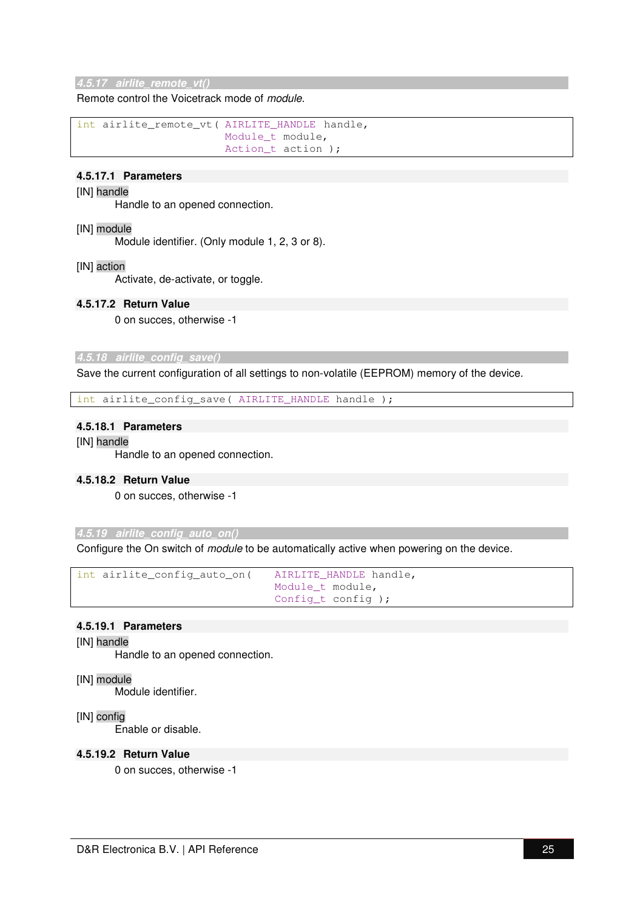### **4.5.17 airlite\_remote\_vt()**

Remote control the Voicetrack mode of module.

```
int airlite remote vt ( AIRLITE HANDLE handle,
                         Module_t module, 
                        Action_t action );
```
### **4.5.17.1 Parameters**

### [IN] handle

Handle to an opened connection.

### [IN] module

Module identifier. (Only module 1, 2, 3 or 8).

### [IN] action

Activate, de-activate, or toggle.

### **4.5.17.2 Return Value**

0 on succes, otherwise -1

### **4.5.18 airlite\_config\_save()**

Save the current configuration of all settings to non-volatile (EEPROM) memory of the device.

int airlite config\_save( AIRLITE HANDLE handle );

### **4.5.18.1 Parameters**

### [IN] handle

Handle to an opened connection.

### **4.5.18.2 Return Value**

0 on succes, otherwise -1

### **4.5.19 airlite\_config\_auto\_on()**

Configure the On switch of module to be automatically active when powering on the device.

```
int airlite_config_auto_on( AIRLITE_HANDLE handle, 
                                Module_t module, 
                               Config_t config );
```
### **4.5.19.1 Parameters**

[IN] handle

Handle to an opened connection.

### [IN] module

Module identifier.

[IN] config

Enable or disable.

### **4.5.19.2 Return Value**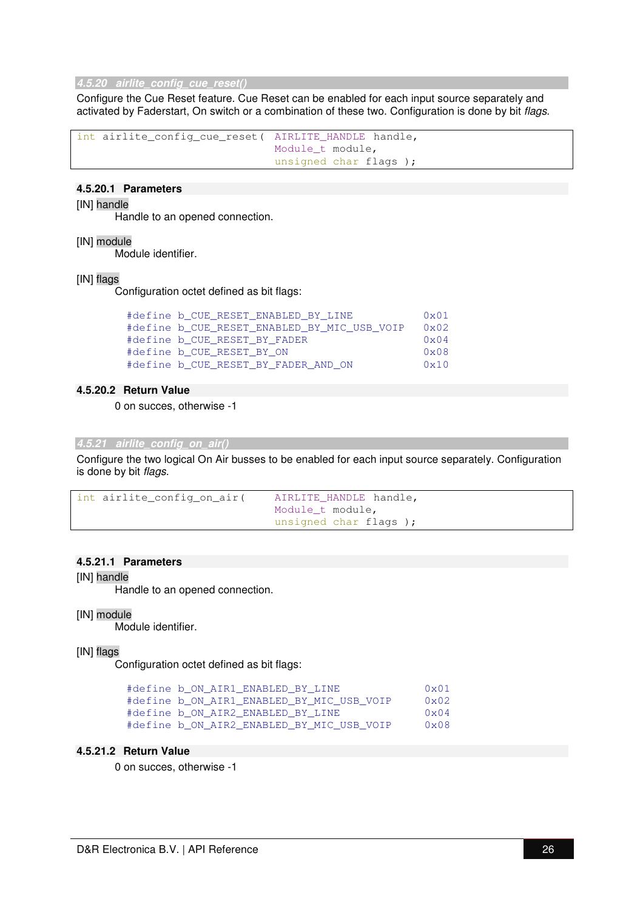### **4.5.20 airlite\_config\_cue\_reset()**

Configure the Cue Reset feature. Cue Reset can be enabled for each input source separately and activated by Faderstart, On switch or a combination of these two. Configuration is done by bit flags.

```
int airlite_config_cue_reset( AIRLITE_HANDLE handle, 
                               Module t module,
                               unsigned char flags );
```
### **4.5.20.1 Parameters**

[IN] handle

Handle to an opened connection.

### [IN] module

Module identifier.

### [IN] flags

Configuration octet defined as bit flags:

```
#define b CUE RESET ENABLED BY LINE 0x01
 #define b_CUE_RESET_ENABLED_BY_MIC_USB_VOIP 0x02
 #define b_CUE_RESET_BY_FADER 0x04
 #define b_CUE_RESET_BY_ON 0x08
 #define b_CUE_RESET_BY_FADER_AND_ON 0x10
```
### **4.5.20.2 Return Value**

0 on succes, otherwise -1

```
4.5.21 airlite_config_on_air()
```
Configure the two logical On Air busses to be enabled for each input source separately. Configuration is done by bit *flags*.

```
int airlite_config_on_air( AIRLITE_HANDLE handle, 
                                Module_t module, 
                               unsigned char flags );
```
### **4.5.21.1 Parameters**

[IN] handle

Handle to an opened connection.

### [IN] module

Module identifier.

### [IN] flags

Configuration octet defined as bit flags:

```
 #define b_ON_AIR1_ENABLED_BY_LINE 0x01
 #define b_ON_AIR1_ENABLED_BY_MIC_USB_VOIP 0x02
#define b_ON_AIR2_ENABLED_BY_LINE 0x04
 #define b_ON_AIR2_ENABLED_BY_MIC_USB_VOIP 0x08
```
### **4.5.21.2 Return Value**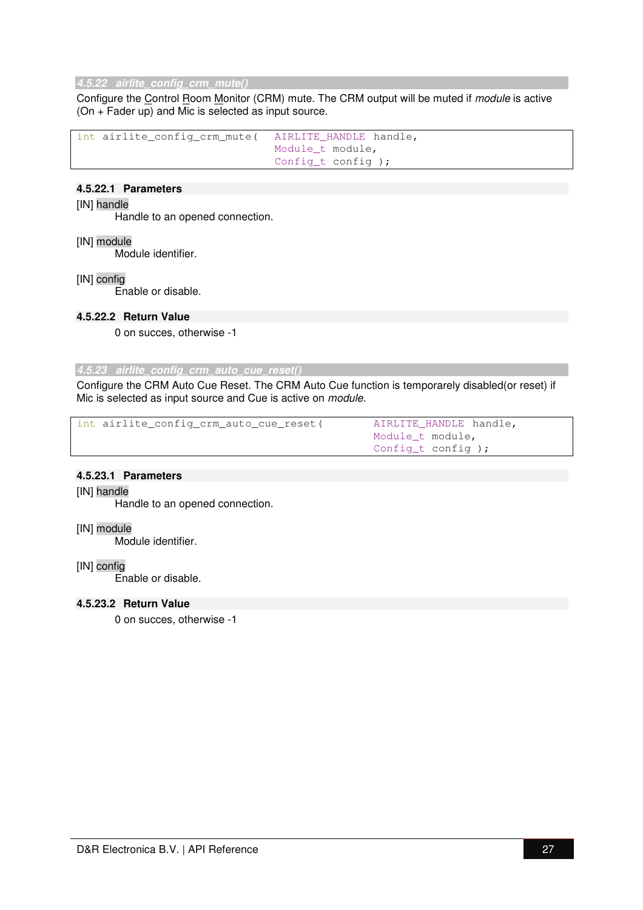### **4.5.22 airlite\_config\_crm\_mute()**

Configure the Control Room Monitor (CRM) mute. The CRM output will be muted if module is active (On + Fader up) and Mic is selected as input source.

```
int airlite_config_crm_mute( AIRLITE_HANDLE handle, 
                               Module t module,
                               Config_t config );
```
### **4.5.22.1 Parameters**

### [IN] handle

Handle to an opened connection.

### [IN] module

Module identifier.

### [IN] config

Enable or disable.

### **4.5.22.2 Return Value**

0 on succes, otherwise -1

### **4.5.23 airlite\_config\_crm\_auto\_cue\_reset()**

Configure the CRM Auto Cue Reset. The CRM Auto Cue function is temporarely disabled(or reset) if Mic is selected as input source and Cue is active on *module*.

```
int airlite_config_crm_auto_cue_reset( AIRLITE_HANDLE handle,
```
 Module\_t module, Config t config );

### **4.5.23.1 Parameters**

### [IN] handle

Handle to an opened connection.

### [IN] module

Module identifier.

### [IN] config

Enable or disable.

### **4.5.23.2 Return Value**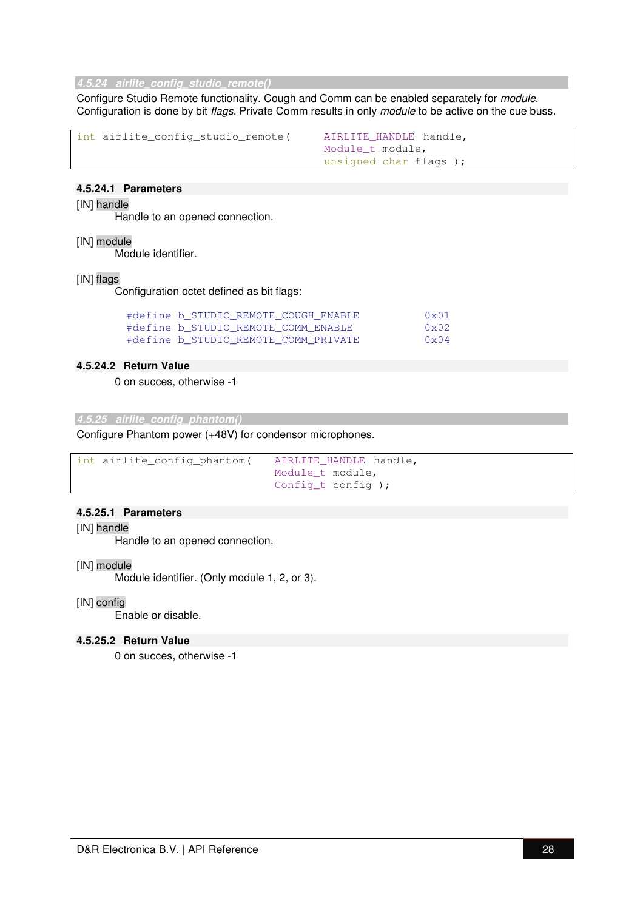### **4.5.24 airlite\_config\_studio\_remote()**

Configure Studio Remote functionality. Cough and Comm can be enabled separately for module. Configuration is done by bit flags. Private Comm results in only module to be active on the cue buss.

```
int airlite_config_studio_remote( AIRLITE_HANDLE handle, 
                                     Module t module,
                                     unsigned char flags );
```
### **4.5.24.1 Parameters**

[IN] handle

Handle to an opened connection.

### [IN] module

Module identifier.

### [IN] flags

Configuration octet defined as bit flags:

| #define b STUDIO REMOTE COUGH ENABLE | $0 \times 01$ |
|--------------------------------------|---------------|
| #define b STUDIO REMOTE COMM ENABLE  | $0 \times 02$ |
| #define b STUDIO REMOTE COMM PRIVATE | $0 \times 04$ |

### **4.5.24.2 Return Value**

0 on succes, otherwise -1

**4.5.25 airlite\_config\_phantom()** 

Configure Phantom power (+48V) for condensor microphones.

```
int airlite_config_phantom( AIRLITE_HANDLE handle, 
                               Module t module,
                                Config_t config );
```
### **4.5.25.1 Parameters**

[IN] handle

Handle to an opened connection.

[IN] module

Module identifier. (Only module 1, 2, or 3).

[IN] config

Enable or disable.

### **4.5.25.2 Return Value**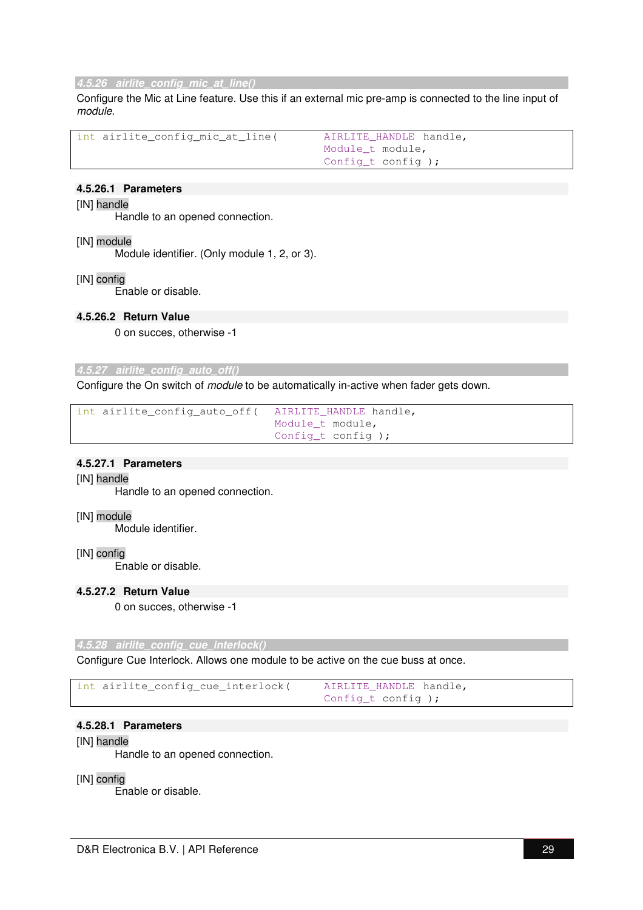### **4.5.26 airlite\_config\_mic\_at\_line()**

Configure the Mic at Line feature. Use this if an external mic pre-amp is connected to the line input of module.

```
int airlite_config_mic_at_line( AIRLITE_HANDLE handle, 
                                     Module t module,
                                     Config_t config );
```
### **4.5.26.1 Parameters**

[IN] handle

Handle to an opened connection.

### [IN] module

Module identifier. (Only module 1, 2, or 3).

### [IN] config

Enable or disable.

### **4.5.26.2 Return Value**

0 on succes, otherwise -1

### **4.5.27 airlite\_config\_auto\_off()**

Configure the On switch of module to be automatically in-active when fader gets down.

```
int airlite_config_auto_off( AIRLITE_HANDLE handle, 
                                 Module_t module, 
                                Config_t config );
```
### **4.5.27.1 Parameters**

### [IN] handle

Handle to an opened connection.

### [IN] module

Module identifier.

### [IN] config

Enable or disable.

### **4.5.27.2 Return Value**

0 on succes, otherwise -1

**4.5.28 airlite\_config\_cue\_interlock()** 

Configure Cue Interlock. Allows one module to be active on the cue buss at once.

```
int airlite_config_cue_interlock( AIRLITE_HANDLE handle, 
                                       Config_t config );
```
### **4.5.28.1 Parameters**

### [IN] handle

Handle to an opened connection.

### [IN] config

Enable or disable.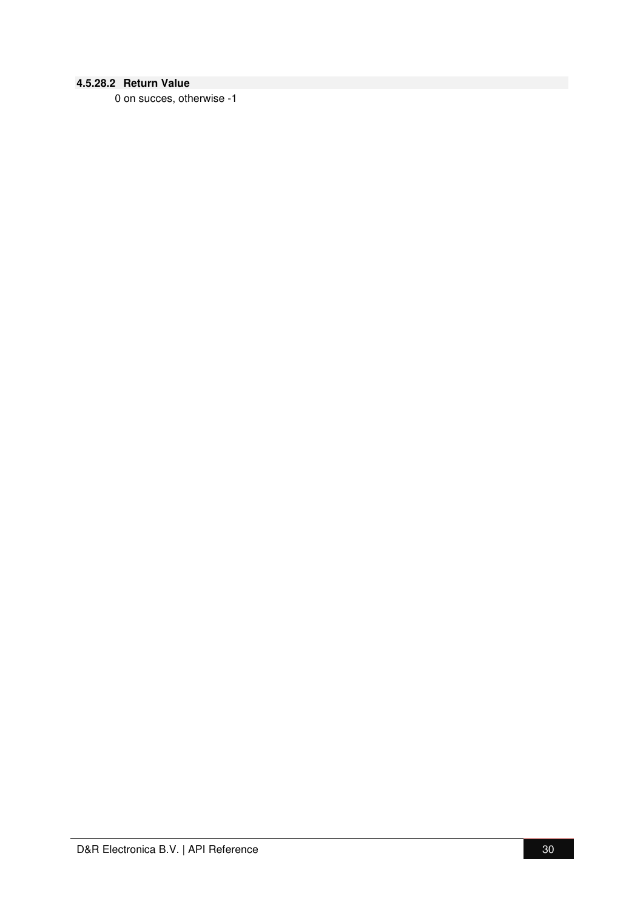### **4.5.28.2 Return Value**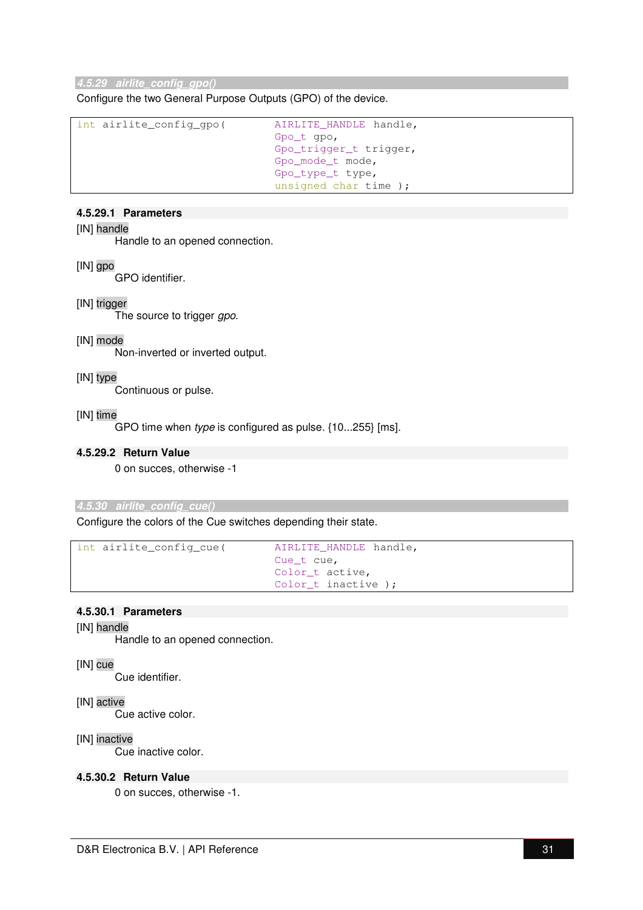Configure the two General Purpose Outputs (GPO) of the device.

| int airlite config qpo( | AIRLITE HANDLE handle,   |
|-------------------------|--------------------------|
|                         | Gpo t gpo,               |
|                         | Gpo_trigger_t trigger,   |
|                         | Gpo mode t mode,         |
|                         | Gpo_type_t type,         |
|                         | unsigned char time $)$ ; |

### **4.5.29.1 Parameters**

### [IN] handle

Handle to an opened connection.

### [IN] gpo

GPO identifier.

### [IN] trigger

The source to trigger gpo.

### [IN] mode

Non-inverted or inverted output.

### [IN] type

Continuous or pulse.

### [IN] time

GPO time when type is configured as pulse. {10...255} [ms].

### **4.5.29.2 Return Value**

0 on succes, otherwise -1

### **4.5.30 airlite\_config\_cue()**

Configure the colors of the Cue switches depending their state.

```
int airlite_config_cue( AIRLITE_HANDLE handle,
                                Cue_t cue, 
                               Color_t active, 
                                Color_t inactive );
```
### **4.5.30.1 Parameters**

### [IN] handle

Handle to an opened connection.

### [IN] cue

Cue identifier.

### [IN] active

Cue active color.

### [IN] inactive

Cue inactive color.

### **4.5.30.2 Return Value**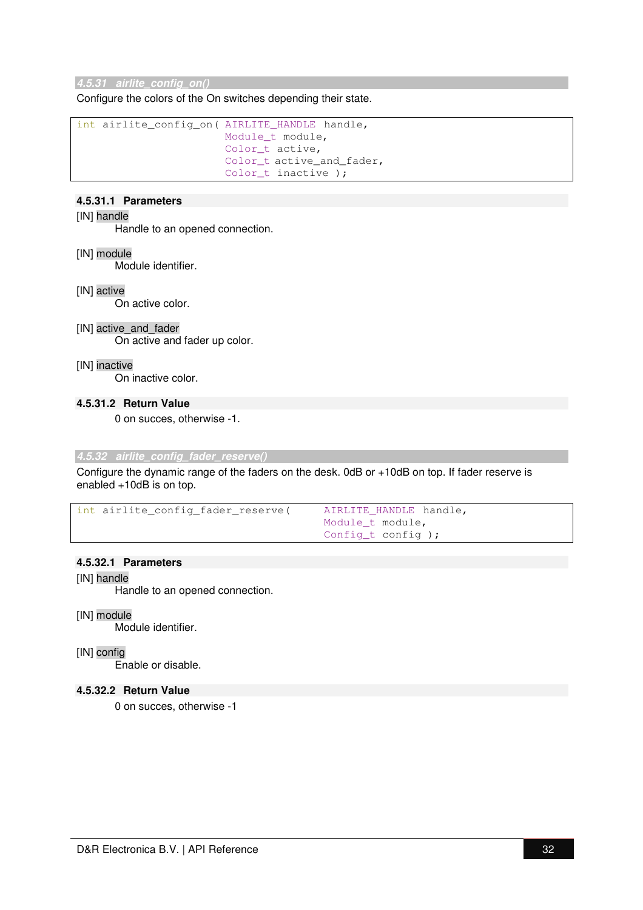Configure the colors of the On switches depending their state.

```
int airlite_config_on( AIRLITE_HANDLE handle, 
                         Module_t module, 
                        Color_t active, 
                         Color_t active_and_fader, 
                         Color_t inactive );
```
### **4.5.31.1 Parameters**

[IN] handle

Handle to an opened connection.

[IN] module

Module identifier.

### [IN] active

On active color.

### [IN] active\_and\_fader

On active and fader up color.

### [IN] inactive

On inactive color.

### **4.5.31.2 Return Value**

0 on succes, otherwise -1.

### **4.5.32 airlite\_config\_fader\_reserve()**

Configure the dynamic range of the faders on the desk. 0dB or +10dB on top. If fader reserve is enabled +10dB is on top.

```
int airlite_config_fader_reserve( AIRLITE_HANDLE handle, 
                                       Module_t module, 
                                      Config_t config );
```
### **4.5.32.1 Parameters**

[IN] handle

Handle to an opened connection.

[IN] module

Module identifier.

[IN] config

Enable or disable.

### **4.5.32.2 Return Value**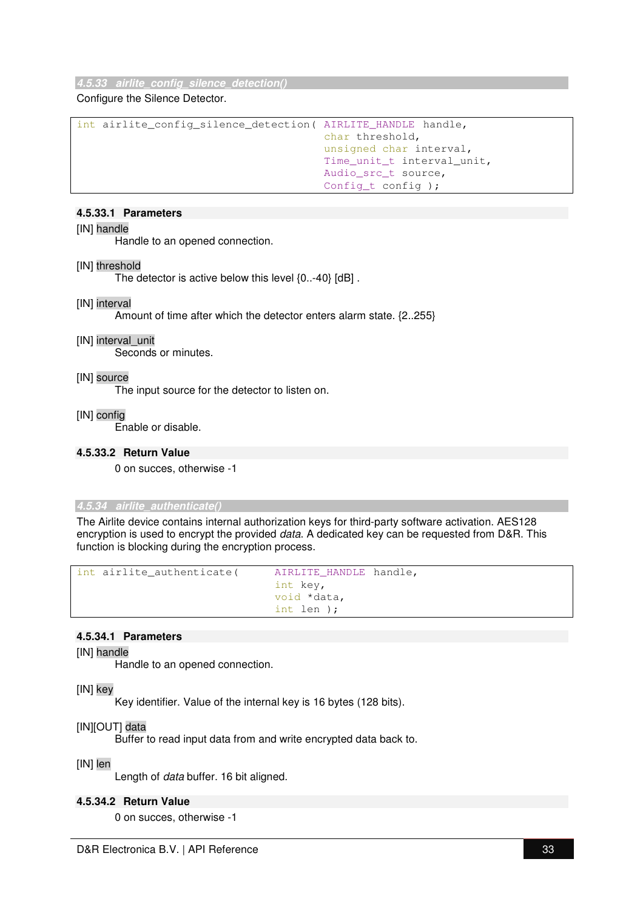Configure the Silence Detector.

```
int airlite config silence detection ( AIRLITE HANDLE handle,
                                         char threshold, 
                                         unsigned char interval, 
                                        Time unit t interval unit,
                                        Audio src t source,
                                        Config_t config );
```
### **4.5.33.1 Parameters**

### [IN] handle

Handle to an opened connection.

### [IN] threshold

The detector is active below this level {0..-40} [dB] .

### [IN] interval

Amount of time after which the detector enters alarm state. {2..255}

### [IN] interval\_unit

Seconds or minutes.

### [IN] source

The input source for the detector to listen on.

# [IN] config

Enable or disable.

### **4.5.33.2 Return Value**

0 on succes, otherwise -1

### **4.5.34 airlite\_authenticate()**

The Airlite device contains internal authorization keys for third-party software activation. AES128 encryption is used to encrypt the provided *data*. A dedicated key can be requested from D&R. This function is blocking during the encryption process.

```
int airlite authenticate ( AIRLITE HANDLE handle,
                                int key, 
                                void *data, 
                                int len );
```
### **4.5.34.1 Parameters**

### [IN] handle

Handle to an opened connection.

### [IN] key

Key identifier. Value of the internal key is 16 bytes (128 bits).

### [IN][OUT] data

Buffer to read input data from and write encrypted data back to.

### [IN] len

Length of data buffer. 16 bit aligned.

### **4.5.34.2 Return Value**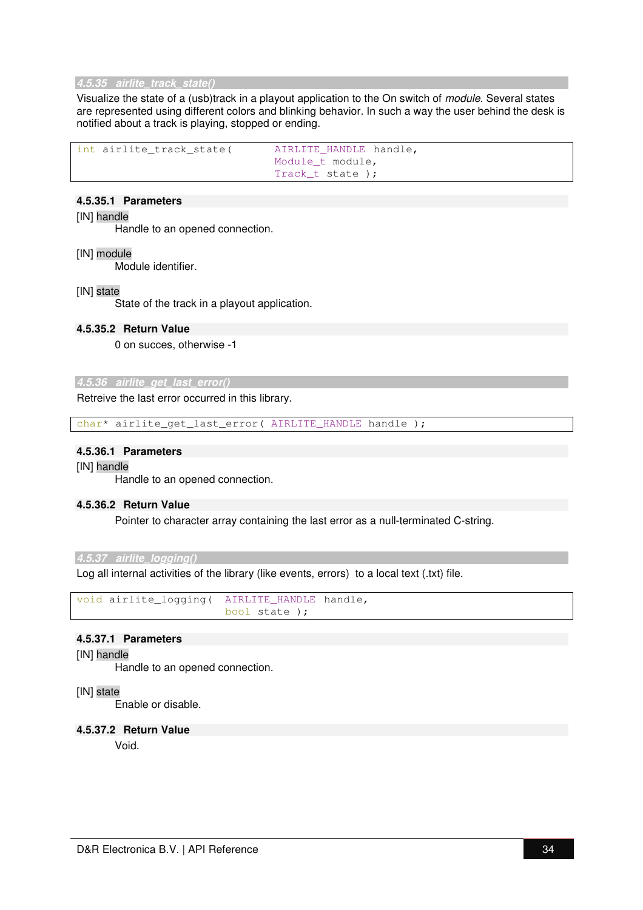### **4.5.35 airlite\_track\_state()**

Visualize the state of a (usb)track in a playout application to the On switch of module. Several states are represented using different colors and blinking behavior. In such a way the user behind the desk is notified about a track is playing, stopped or ending.

```
int airlite_track_state( AIRLITE_HANDLE handle, 
                             Module t module,
                              Track_t state );
```
### **4.5.35.1 Parameters**

### [IN] handle

Handle to an opened connection.

### [IN] module

Module identifier.

### [IN] state

State of the track in a playout application.

### **4.5.35.2 Return Value**

0 on succes, otherwise -1

### **4.5.36 airlite\_get\_last\_error()**

Retreive the last error occurred in this library.

char\* airlite\_get\_last\_error( AIRLITE\_HANDLE handle );

### **4.5.36.1 Parameters**

### [IN] handle

Handle to an opened connection.

### **4.5.36.2 Return Value**

Pointer to character array containing the last error as a null-terminated C-string.

### **4.5.37 airlite\_logging()**

Log all internal activities of the library (like events, errors) to a local text (.txt) file.

```
void airlite_logging( AIRLITE_HANDLE handle, 
                         bool state );
```
### **4.5.37.1 Parameters**

### [IN] handle

Handle to an opened connection.

### [IN] state

Enable or disable.

### **4.5.37.2 Return Value**

Void.